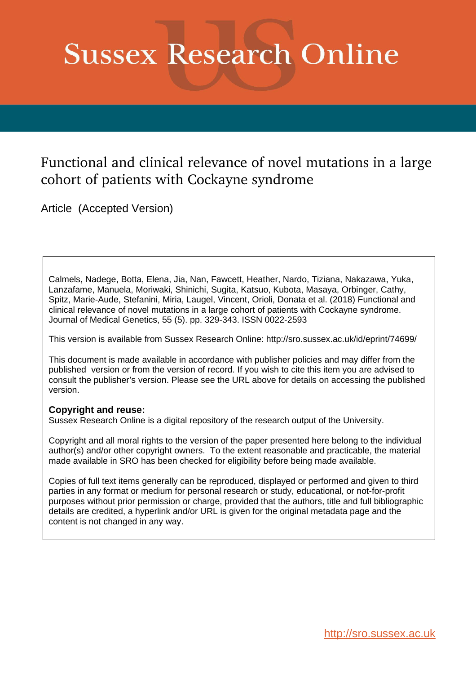# **Sussex Research Online**

# Functional and clinical relevance of novel mutations in a large cohort of patients with Cockayne syndrome

Article (Accepted Version)

Calmels, Nadege, Botta, Elena, Jia, Nan, Fawcett, Heather, Nardo, Tiziana, Nakazawa, Yuka, Lanzafame, Manuela, Moriwaki, Shinichi, Sugita, Katsuo, Kubota, Masaya, Orbinger, Cathy, Spitz, Marie-Aude, Stefanini, Miria, Laugel, Vincent, Orioli, Donata et al. (2018) Functional and clinical relevance of novel mutations in a large cohort of patients with Cockayne syndrome. Journal of Medical Genetics, 55 (5). pp. 329-343. ISSN 0022-2593

This version is available from Sussex Research Online: http://sro.sussex.ac.uk/id/eprint/74699/

This document is made available in accordance with publisher policies and may differ from the published version or from the version of record. If you wish to cite this item you are advised to consult the publisher's version. Please see the URL above for details on accessing the published version.

# **Copyright and reuse:**

Sussex Research Online is a digital repository of the research output of the University.

Copyright and all moral rights to the version of the paper presented here belong to the individual author(s) and/or other copyright owners. To the extent reasonable and practicable, the material made available in SRO has been checked for eligibility before being made available.

Copies of full text items generally can be reproduced, displayed or performed and given to third parties in any format or medium for personal research or study, educational, or not-for-profit purposes without prior permission or charge, provided that the authors, title and full bibliographic details are credited, a hyperlink and/or URL is given for the original metadata page and the content is not changed in any way.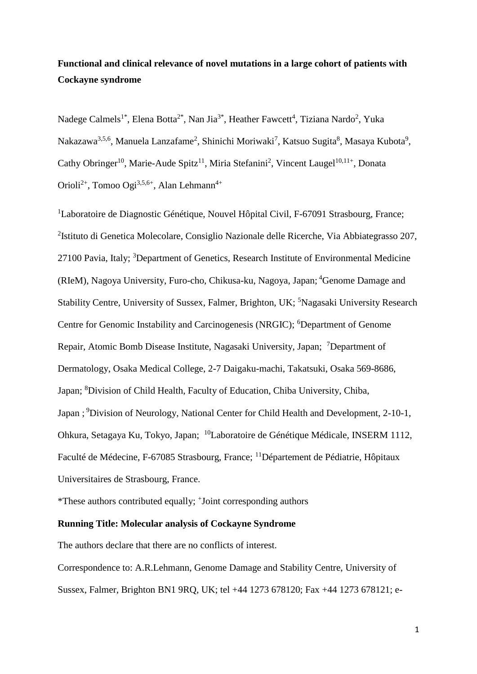# **Functional and clinical relevance of novel mutations in a large cohort of patients with Cockayne syndrome**

Nadege Calmels<sup>1\*</sup>, Elena Botta<sup>2\*</sup>, Nan Jia<sup>3\*</sup>, Heather Fawcett<sup>4</sup>, Tiziana Nardo<sup>2</sup>, Yuka Nakazawa $^{3,5,6}$ , Manuela Lanzafame<sup>2</sup>, Shinichi Moriwaki<sup>7</sup>, Katsuo Sugita $^8$ , Masaya Kubota $^9$ , Cathy Obringer<sup>10</sup>, Marie-Aude Spitz<sup>11</sup>, Miria Stefanini<sup>2</sup>, Vincent Laugel<sup>10,11+</sup>, Donata Orioli<sup>2+</sup>, Tomoo Ogi<sup>3,5,6+</sup>, Alan Lehmann<sup>4+</sup>

<sup>1</sup>Laboratoire de Diagnostic Génétique, Nouvel Hôpital Civil, F-67091 Strasbourg, France; <sup>2</sup>Istituto di Genetica Molecolare, Consiglio Nazionale delle Ricerche, Via Abbiategrasso 207, 27100 Pavia, Italy; <sup>3</sup>Department of Genetics, Research Institute of Environmental Medicine (RIeM), Nagoya University, Furo-cho, Chikusa-ku, Nagoya, Japan; <sup>4</sup>Genome Damage and Stability Centre, University of Sussex, Falmer, Brighton, UK; <sup>5</sup>Nagasaki University Research Centre for Genomic Instability and Carcinogenesis (NRGIC); <sup>6</sup>Department of Genome Repair, Atomic Bomb Disease Institute, Nagasaki University, Japan; <sup>7</sup>Department of Dermatology, Osaka Medical College, 2-7 Daigaku-machi, Takatsuki, Osaka 569-8686, Japan; <sup>8</sup>Division of Child Health, Faculty of Education, Chiba University, Chiba, Japan; <sup>9</sup>Division of Neurology, National Center for Child Health and Development, 2-10-1, Ohkura, Setagaya Ku, Tokyo, Japan; <sup>10</sup>Laboratoire de Génétique Médicale, INSERM 1112, Faculté de Médecine, F-67085 Strasbourg, France; <sup>11</sup>Département de Pédiatrie, Hôpitaux Universitaires de Strasbourg, France.

\*These authors contributed equally; <sup>+</sup> Joint corresponding authors

# **Running Title: Molecular analysis of Cockayne Syndrome**

The authors declare that there are no conflicts of interest.

Correspondence to: A.R.Lehmann, Genome Damage and Stability Centre, University of Sussex, Falmer, Brighton BN1 9RQ, UK; tel +44 1273 678120; Fax +44 1273 678121; e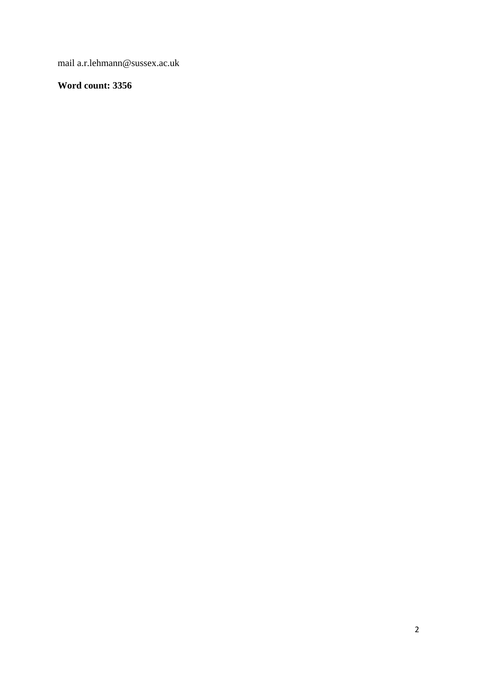mail a.r.lehmann@sussex.ac.uk

# **Word count: 3356**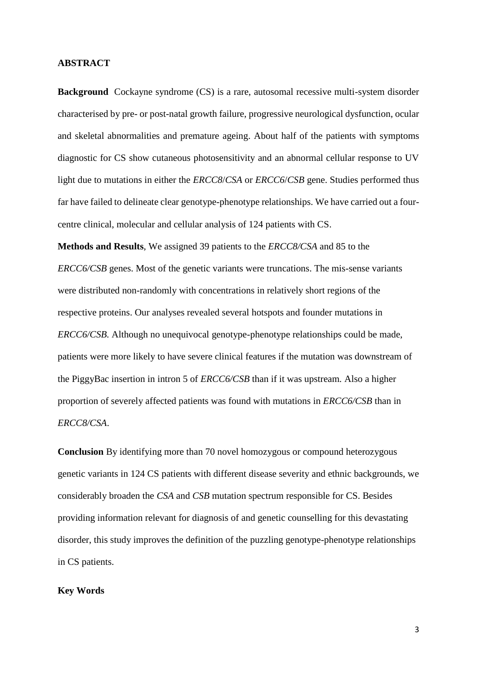## **ABSTRACT**

**Background** Cockayne syndrome (CS) is a rare, autosomal recessive multi-system disorder characterised by pre- or post-natal growth failure, progressive neurological dysfunction, ocular and skeletal abnormalities and premature ageing. About half of the patients with symptoms diagnostic for CS show cutaneous photosensitivity and an abnormal cellular response to UV light due to mutations in either the *ERCC8*/*CSA* or *ERCC6*/*CSB* gene. Studies performed thus far have failed to delineate clear genotype-phenotype relationships. We have carried out a fourcentre clinical, molecular and cellular analysis of 124 patients with CS.

**Methods and Results**, We assigned 39 patients to the *ERCC8/CSA* and 85 to the *ERCC6/CSB* genes. Most of the genetic variants were truncations. The mis-sense variants were distributed non-randomly with concentrations in relatively short regions of the respective proteins. Our analyses revealed several hotspots and founder mutations in *ERCC6/CSB.* Although no unequivocal genotype-phenotype relationships could be made, patients were more likely to have severe clinical features if the mutation was downstream of the PiggyBac insertion in intron 5 of *ERCC6/CSB* than if it was upstream*.* Also a higher proportion of severely affected patients was found with mutations in *ERCC6/CSB* than in *ERCC8/CSA*.

**Conclusion** By identifying more than 70 novel homozygous or compound heterozygous genetic variants in 124 CS patients with different disease severity and ethnic backgrounds, we considerably broaden the *CSA* and *CSB* mutation spectrum responsible for CS. Besides providing information relevant for diagnosis of and genetic counselling for this devastating disorder, this study improves the definition of the puzzling genotype-phenotype relationships in CS patients.

# **Key Words**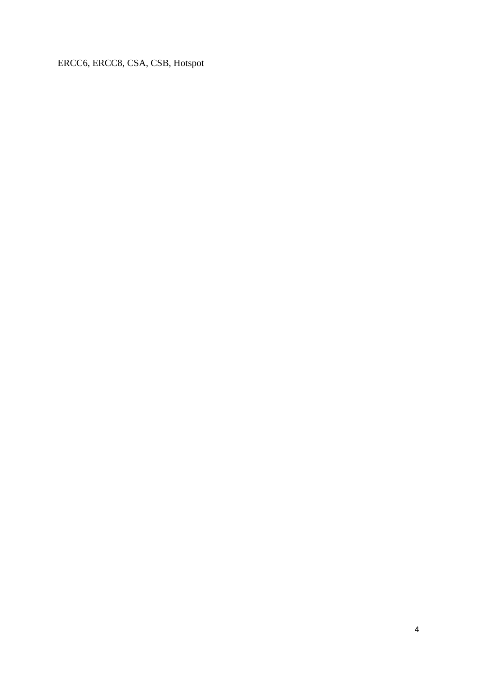ERCC6, ERCC8, CSA, CSB, Hotspot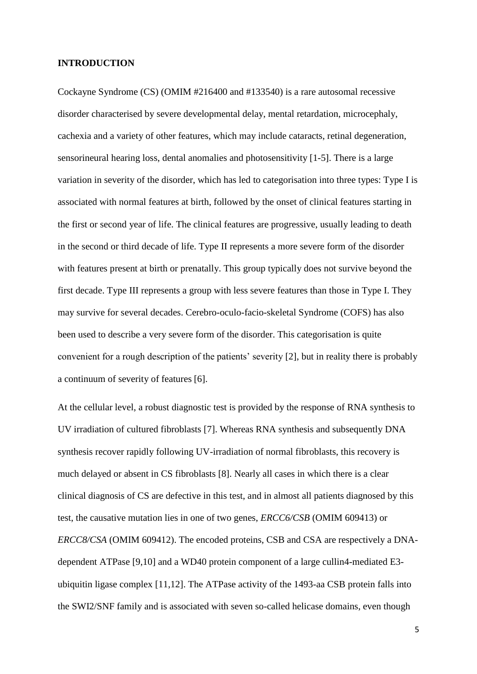## **INTRODUCTION**

Cockayne Syndrome (CS) (OMIM #216400 and #133540) is a rare autosomal recessive disorder characterised by severe developmental delay, mental retardation, microcephaly, cachexia and a variety of other features, which may include cataracts, retinal degeneration, sensorineural hearing loss, dental anomalies and photosensitivity [\[1-5\]](#page-27-0). There is a large variation in severity of the disorder, which has led to categorisation into three types: Type I is associated with normal features at birth, followed by the onset of clinical features starting in the first or second year of life. The clinical features are progressive, usually leading to death in the second or third decade of life. Type II represents a more severe form of the disorder with features present at birth or prenatally. This group typically does not survive beyond the first decade. Type III represents a group with less severe features than those in Type I. They may survive for several decades. Cerebro-oculo-facio-skeletal Syndrome (COFS) has also been used to describe a very severe form of the disorder. This categorisation is quite convenient for a rough description of the patients' severity [\[2\]](#page-27-1), but in reality there is probably a continuum of severity of features [\[6\]](#page-27-2).

At the cellular level, a robust diagnostic test is provided by the response of RNA synthesis to UV irradiation of cultured fibroblasts [\[7\]](#page-27-3). Whereas RNA synthesis and subsequently DNA synthesis recover rapidly following UV-irradiation of normal fibroblasts, this recovery is much delayed or absent in CS fibroblasts [\[8\]](#page-27-4). Nearly all cases in which there is a clear clinical diagnosis of CS are defective in this test, and in almost all patients diagnosed by this test, the causative mutation lies in one of two genes, *ERCC6/CSB* (OMIM 609413) or *ERCC8/CSA* (OMIM 609412). The encoded proteins, CSB and CSA are respectively a DNAdependent ATPase [\[9,](#page-27-5)[10\]](#page-27-6) and a WD40 protein component of a large cullin4-mediated E3 ubiquitin ligase complex [\[11](#page-27-7)[,12\]](#page-27-8). The ATPase activity of the 1493-aa CSB protein falls into the SWI2/SNF family and is associated with seven so-called helicase domains, even though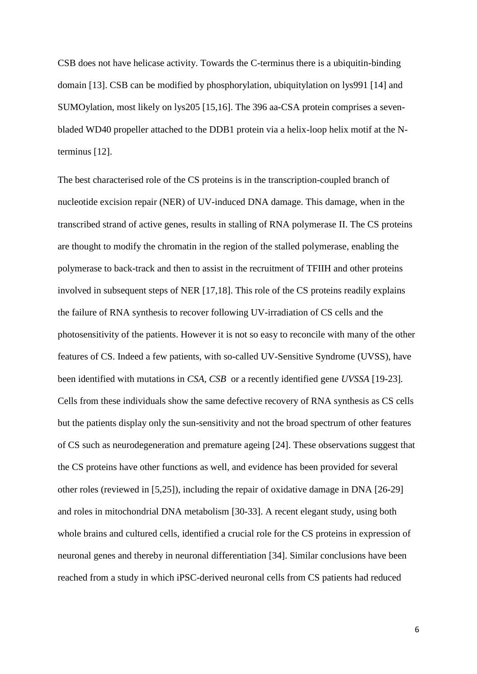CSB does not have helicase activity. Towards the C-terminus there is a ubiquitin-binding domain [\[13\]](#page-27-9). CSB can be modified by phosphorylation, ubiquitylation on lys991 [\[14\]](#page-27-10) and SUMOylation, most likely on lys205 [\[15](#page-27-11)[,16\]](#page-27-12). The 396 aa-CSA protein comprises a sevenbladed WD40 propeller attached to the DDB1 protein via a helix-loop helix motif at the Nterminus [\[12\]](#page-27-8).

The best characterised role of the CS proteins is in the transcription-coupled branch of nucleotide excision repair (NER) of UV-induced DNA damage. This damage, when in the transcribed strand of active genes, results in stalling of RNA polymerase II. The CS proteins are thought to modify the chromatin in the region of the stalled polymerase, enabling the polymerase to back-track and then to assist in the recruitment of TFIIH and other proteins involved in subsequent steps of NER [\[17](#page-28-0)[,18\]](#page-28-1). This role of the CS proteins readily explains the failure of RNA synthesis to recover following UV-irradiation of CS cells and the photosensitivity of the patients. However it is not so easy to reconcile with many of the other features of CS. Indeed a few patients, with so-called UV-Sensitive Syndrome (UVSS), have been identified with mutations in *CSA, CSB* or a recently identified gene *UVSSA* [\[19-23\]](#page-28-2)*.*  Cells from these individuals show the same defective recovery of RNA synthesis as CS cells but the patients display only the sun-sensitivity and not the broad spectrum of other features of CS such as neurodegeneration and premature ageing [\[24\]](#page-28-3). These observations suggest that the CS proteins have other functions as well, and evidence has been provided for several other roles (reviewed in [\[5,](#page-27-13)[25\]](#page-28-4)), including the repair of oxidative damage in DNA [\[26-29\]](#page-28-5) and roles in mitochondrial DNA metabolism [\[30-33\]](#page-28-6). A recent elegant study, using both whole brains and cultured cells, identified a crucial role for the CS proteins in expression of neuronal genes and thereby in neuronal differentiation [\[34\]](#page-29-0). Similar conclusions have been reached from a study in which iPSC-derived neuronal cells from CS patients had reduced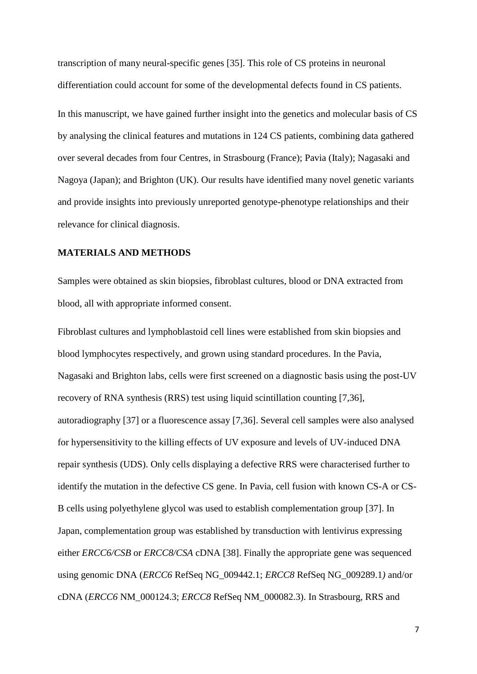transcription of many neural-specific genes [\[35\]](#page-29-1). This role of CS proteins in neuronal differentiation could account for some of the developmental defects found in CS patients.

In this manuscript, we have gained further insight into the genetics and molecular basis of CS by analysing the clinical features and mutations in 124 CS patients, combining data gathered over several decades from four Centres, in Strasbourg (France); Pavia (Italy); Nagasaki and Nagoya (Japan); and Brighton (UK). Our results have identified many novel genetic variants and provide insights into previously unreported genotype-phenotype relationships and their relevance for clinical diagnosis.

# **MATERIALS AND METHODS**

Samples were obtained as skin biopsies, fibroblast cultures, blood or DNA extracted from blood, all with appropriate informed consent.

Fibroblast cultures and lymphoblastoid cell lines were established from skin biopsies and blood lymphocytes respectively, and grown using standard procedures. In the Pavia, Nagasaki and Brighton labs, cells were first screened on a diagnostic basis using the post-UV recovery of RNA synthesis (RRS) test using liquid scintillation counting [\[7,](#page-27-3)[36\]](#page-29-2), autoradiography [\[37\]](#page-29-3) or a fluorescence assay [\[7,](#page-27-3)[36\]](#page-29-2). Several cell samples were also analysed for hypersensitivity to the killing effects of UV exposure and levels of UV-induced DNA repair synthesis (UDS). Only cells displaying a defective RRS were characterised further to identify the mutation in the defective CS gene. In Pavia, cell fusion with known CS-A or CS-B cells using polyethylene glycol was used to establish complementation group [\[37\]](#page-29-3). In Japan, complementation group was established by transduction with lentivirus expressing either *ERCC6/CSB* or *ERCC8/CSA* cDNA [\[38\]](#page-29-4). Finally the appropriate gene was sequenced using genomic DNA (*ERCC6* RefSeq NG\_009442.1; *ERCC8* RefSeq NG\_009289.1*)* and/or cDNA (*ERCC6* NM\_000124.3; *ERCC8* RefSeq NM\_000082.3). In Strasbourg, RRS and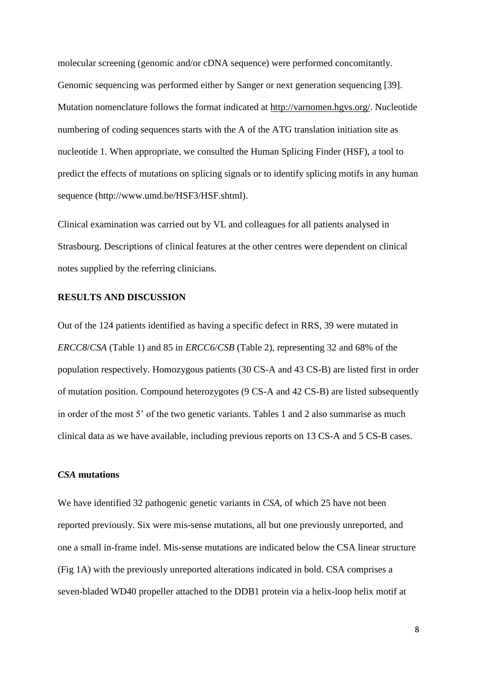molecular screening (genomic and/or cDNA sequence) were performed concomitantly. Genomic sequencing was performed either by Sanger or next generation sequencing [39]. Mutation nomenclature follows the format indicated at [http://varnomen.hgvs.org/.](http://varnomen.hgvs.org/) Nucleotide numbering of coding sequences starts with the A of the ATG translation initiation site as nucleotide 1. When appropriate, we consulted the Human Splicing Finder (HSF), a tool to predict the effects of mutations on splicing signals or to identify splicing motifs in any human sequence (http://www.umd.be/HSF3/HSF.shtml).

Clinical examination was carried out by VL and colleagues for all patients analysed in Strasbourg. Descriptions of clinical features at the other centres were dependent on clinical notes supplied by the referring clinicians.

# **RESULTS AND DISCUSSION**

Out of the 124 patients identified as having a specific defect in RRS, 39 were mutated in *ERCC8*/*CSA* (Table 1) and 85 in *ERCC6*/*CSB* (Table 2), representing 32 and 68% of the population respectively. Homozygous patients (30 CS-A and 43 CS-B) are listed first in order of mutation position. Compound heterozygotes (9 CS-A and 42 CS-B) are listed subsequently in order of the most 5' of the two genetic variants. Tables 1 and 2 also summarise as much clinical data as we have available, including previous reports on 13 CS-A and 5 CS-B cases.

# *CSA* **mutations**

We have identified 32 pathogenic genetic variants in *CSA*, of which 25 have not been reported previously. Six were mis-sense mutations, all but one previously unreported, and one a small in-frame indel. Mis-sense mutations are indicated below the CSA linear structure (Fig 1A) with the previously unreported alterations indicated in bold. CSA comprises a seven-bladed WD40 propeller attached to the DDB1 protein via a helix-loop helix motif at

8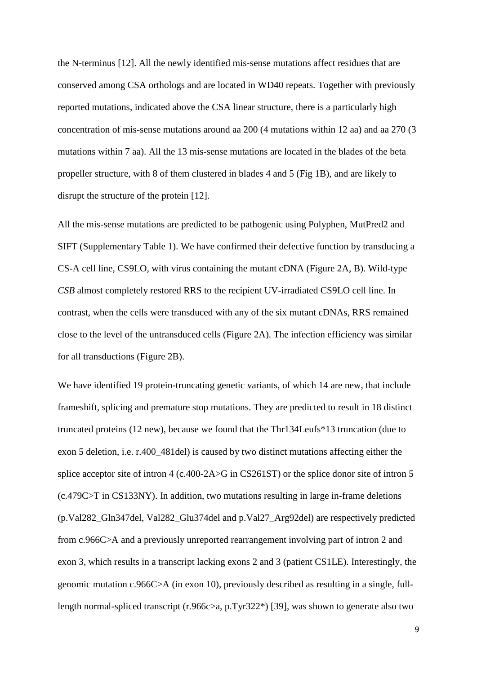the N-terminus [\[12\]](#page-27-8). All the newly identified mis-sense mutations affect residues that are conserved among CSA orthologs and are located in WD40 repeats. Together with previously reported mutations, indicated above the CSA linear structure, there is a particularly high concentration of mis-sense mutations around aa 200 (4 mutations within 12 aa) and aa 270 (3 mutations within 7 aa). All the 13 mis-sense mutations are located in the blades of the beta propeller structure, with 8 of them clustered in blades 4 and 5 (Fig 1B), and are likely to disrupt the structure of the protein [\[12\]](#page-27-8).

All the mis-sense mutations are predicted to be pathogenic using Polyphen, MutPred2 and SIFT (Supplementary Table 1). We have confirmed their defective function by transducing a CS-A cell line, CS9LO, with virus containing the mutant cDNA (Figure 2A, B). Wild-type *CSB* almost completely restored RRS to the recipient UV-irradiated CS9LO cell line. In contrast, when the cells were transduced with any of the six mutant cDNAs, RRS remained close to the level of the untransduced cells (Figure 2A). The infection efficiency was similar for all transductions (Figure 2B).

We have identified 19 protein-truncating genetic variants, of which 14 are new, that include frameshift, splicing and premature stop mutations. They are predicted to result in 18 distinct truncated proteins (12 new), because we found that the Thr134Leufs\*13 truncation (due to exon 5 deletion, i.e. r.400\_481del) is caused by two distinct mutations affecting either the splice acceptor site of intron 4 (c.400-2A>G in CS261ST) or the splice donor site of intron 5 (c.479C>T in CS133NY). In addition, two mutations resulting in large in-frame deletions (p.Val282\_Gln347del, Val282\_Glu374del and p.Val27\_Arg92del) are respectively predicted from c.966C>A and a previously unreported rearrangement involving part of intron 2 and exon 3, which results in a transcript lacking exons 2 and 3 (patient CS1LE). Interestingly, the genomic mutation c.966C>A (in exon 10), previously described as resulting in a single, fulllength normal-spliced transcript (r.966c>a, p.Tyr322\*) [\[39\]](#page-29-5), was shown to generate also two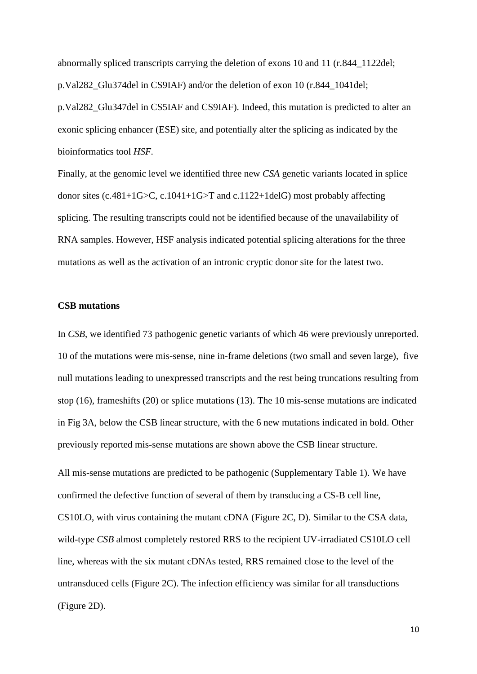abnormally spliced transcripts carrying the deletion of exons 10 and 11 (r.844\_1122del; p.Val282\_Glu374del in CS9IAF) and/or the deletion of exon 10 (r.844\_1041del;

p.Val282\_Glu347del in CS5IAF and CS9IAF). Indeed, this mutation is predicted to alter an exonic splicing enhancer (ESE) site, and potentially alter the splicing as indicated by the bioinformatics tool *HSF.*

Finally, at the genomic level we identified three new *CSA* genetic variants located in splice donor sites (c.481+1G>C, c.1041+1G>T and c.1122+1delG) most probably affecting splicing. The resulting transcripts could not be identified because of the unavailability of RNA samples. However, HSF analysis indicated potential splicing alterations for the three mutations as well as the activation of an intronic cryptic donor site for the latest two.

### **CSB mutations**

In *CSB*, we identified 73 pathogenic genetic variants of which 46 were previously unreported. 10 of the mutations were mis-sense, nine in-frame deletions (two small and seven large), five null mutations leading to unexpressed transcripts and the rest being truncations resulting from stop (16), frameshifts (20) or splice mutations (13). The 10 mis-sense mutations are indicated in Fig 3A, below the CSB linear structure, with the 6 new mutations indicated in bold. Other previously reported mis-sense mutations are shown above the CSB linear structure.

All mis-sense mutations are predicted to be pathogenic (Supplementary Table 1). We have confirmed the defective function of several of them by transducing a CS-B cell line, CS10LO, with virus containing the mutant cDNA (Figure 2C, D). Similar to the CSA data, wild-type *CSB* almost completely restored RRS to the recipient UV-irradiated CS10LO cell line, whereas with the six mutant cDNAs tested, RRS remained close to the level of the untransduced cells (Figure 2C). The infection efficiency was similar for all transductions (Figure 2D).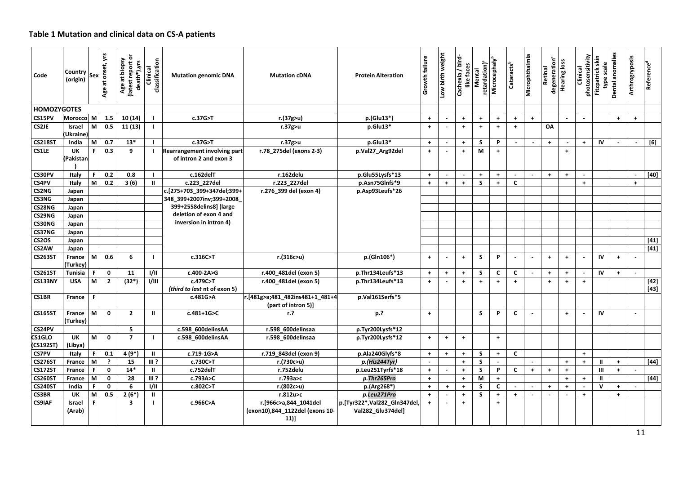# **Table 1 Mutation and clinical data on CS-A patients**

| Code                | Country<br>(origin) | Sex | ξ<br>onset,<br>Age at o | ৯<br>Age at biopsy<br>death*),yrs<br>(latest report | classification<br>Clinical | <b>Mutation genomic DNA</b>                            | <b>Mutation cDNA</b>                                             | <b>Protein Alteration</b>                         | Growth failure       | Low birth weight         | / bird-<br>like faces<br>Cachexia | retardation) <sup>ª</sup><br>Mental | Microcephaly <sup>b</sup> | Cataracts <sup>b</sup> | Microphthalmia       | degeneration <sup>c</sup><br>Retinal | <b>Hearing loss</b>  | Clinical                 | photosensitivity<br>Fitzpatrick skin<br>type scale<br>Dental anomalies |            | Arthrogryposis | Reference <sup>d</sup>                                                                                                                                                                                                                                                                  |
|---------------------|---------------------|-----|-------------------------|-----------------------------------------------------|----------------------------|--------------------------------------------------------|------------------------------------------------------------------|---------------------------------------------------|----------------------|--------------------------|-----------------------------------|-------------------------------------|---------------------------|------------------------|----------------------|--------------------------------------|----------------------|--------------------------|------------------------------------------------------------------------|------------|----------------|-----------------------------------------------------------------------------------------------------------------------------------------------------------------------------------------------------------------------------------------------------------------------------------------|
| <b>HOMOZYGOTES</b>  |                     |     |                         |                                                     |                            |                                                        |                                                                  |                                                   |                      |                          |                                   |                                     |                           |                        |                      |                                      |                      |                          |                                                                        |            |                |                                                                                                                                                                                                                                                                                         |
| CS15PV              | Morocco M           |     | 1.5                     | 10(14)                                              | л.                         | c.37G>T                                                | r.(37g>u)                                                        | p.(Glu13*)                                        | $+$                  | $\sim$                   | $+$                               | $\ddagger$                          | $\ddagger$                | $+$                    | $+$                  |                                      | $\sim$               | $\sim$                   |                                                                        | $+$        | $+$            |                                                                                                                                                                                                                                                                                         |
| CS2JE               | <b>Israel</b>       | M   | 0.5                     | 11(13)                                              |                            |                                                        | r.37g>u                                                          | p.Glu13*                                          | $\pm$                |                          | $\ddag$                           | $\ddot{\phantom{1}}$                | $\ddagger$                | $\ddot{\phantom{1}}$   |                      | OA                                   |                      |                          |                                                                        |            |                |                                                                                                                                                                                                                                                                                         |
|                     | Ukraine             |     |                         |                                                     |                            |                                                        |                                                                  |                                                   |                      |                          |                                   |                                     |                           |                        |                      |                                      |                      |                          |                                                                        |            |                |                                                                                                                                                                                                                                                                                         |
| <b>CS218ST</b>      | India               | M   | 0.7                     | $13*$                                               |                            | c.37G>T                                                | r.37g>u                                                          | p.Glu13*                                          | $+$                  | $\sim$                   | $+$                               | S                                   | P                         | $\sim$                 | $\sim$               | $+$                                  | $\blacksquare$       | $+$                      | IV                                                                     | $\sim$     | $\mathcal{L}$  | [6]                                                                                                                                                                                                                                                                                     |
| CS1LE               | UK<br>(Pakistan     | F   | 0.3                     | 9                                                   |                            | Rearrangement involving part<br>of intron 2 and exon 3 | r.78 275del (exons 2-3)                                          | p.Val27 Arg92del                                  | $\ddot{\phantom{1}}$ | $\overline{\phantom{a}}$ | $+$                               | M                                   | $+$                       |                        |                      |                                      | $+$                  |                          |                                                                        |            |                |                                                                                                                                                                                                                                                                                         |
| CS30PV              | Italy               | F   | 0.2                     | 0.8                                                 |                            | c.162delT                                              | r.162delu                                                        | p.Glu55Lysfs*13                                   | $\ddag$              | $\blacksquare$           |                                   | $\ddot{\phantom{1}}$                | $\ddagger$                |                        |                      | $+$                                  | $+$                  | $\blacksquare$           |                                                                        |            |                | [40]                                                                                                                                                                                                                                                                                    |
| CS4PV               | Italy               | M   | 0.2                     | 3(6)                                                | $\mathbf{H}$               | c.223 227del                                           | r.223 227del                                                     | p.Asn75Glnfs*9                                    | $+$                  | $\ddot{\phantom{1}}$     | $\ddot{\phantom{1}}$              | S                                   | $+$                       | C                      |                      |                                      |                      | $\ddot{\phantom{1}}$     |                                                                        |            | $\ddot{}$      |                                                                                                                                                                                                                                                                                         |
| CS2NG               | Japan               |     |                         |                                                     |                            | c.[275+703_399+347del;399+                             | r.276 399 del (exon 4)                                           | p.Asp93Leufs*26                                   |                      |                          |                                   |                                     |                           |                        |                      |                                      |                      |                          |                                                                        |            |                |                                                                                                                                                                                                                                                                                         |
| CS3NG               | Japan               |     |                         |                                                     |                            | 348_399+2007inv;399+2008                               |                                                                  |                                                   |                      |                          |                                   |                                     |                           |                        |                      |                                      |                      |                          |                                                                        |            |                |                                                                                                                                                                                                                                                                                         |
| CS28NG              | Japan               |     |                         |                                                     |                            | 399+2558delins8] (large                                |                                                                  |                                                   |                      |                          |                                   |                                     |                           |                        |                      |                                      |                      |                          |                                                                        |            |                |                                                                                                                                                                                                                                                                                         |
| CS29NG              | Japan               |     |                         |                                                     |                            | deletion of exon 4 and                                 |                                                                  |                                                   |                      |                          |                                   |                                     |                           |                        |                      |                                      |                      |                          |                                                                        |            |                |                                                                                                                                                                                                                                                                                         |
| CS30NG              | Japan               |     |                         |                                                     |                            | inversion in intron 4)                                 |                                                                  |                                                   |                      |                          |                                   |                                     |                           |                        |                      |                                      |                      |                          |                                                                        |            |                |                                                                                                                                                                                                                                                                                         |
| CS37NG              | Japan               |     |                         |                                                     |                            |                                                        |                                                                  |                                                   |                      |                          |                                   |                                     |                           |                        |                      |                                      |                      |                          |                                                                        |            |                |                                                                                                                                                                                                                                                                                         |
| CS2OS               | Japan               |     |                         |                                                     |                            |                                                        |                                                                  |                                                   |                      |                          |                                   |                                     |                           |                        |                      |                                      |                      |                          |                                                                        |            |                | $[41]$                                                                                                                                                                                                                                                                                  |
| CS2AW               | Japan               |     |                         |                                                     |                            |                                                        |                                                                  |                                                   |                      |                          |                                   |                                     |                           |                        |                      |                                      |                      |                          |                                                                        |            |                | $[41]$                                                                                                                                                                                                                                                                                  |
| <b>CS263ST</b>      | France<br>(Turkey)  | M   | 0.6                     | 6                                                   |                            | c.316C>T                                               | r.(316c>u)                                                       | p.(Gln106*)                                       | $\ddot{\phantom{1}}$ | $\sim$                   | $+$                               | <sub>S</sub>                        | P                         | $\sim$                 | $\mathbf{r}$         | $\ddot{\phantom{1}}$                 | $+$                  | $\sim$                   | IV                                                                     | $+$        | $\sim$         |                                                                                                                                                                                                                                                                                         |
| <b>CS261ST</b>      | <b>Tunisia</b>      | F   | $\mathbf 0$             | 11                                                  | $\overline{v}$             | c.400-2A>G                                             | r.400 481del (exon 5)                                            | p.Thr134Leufs*13                                  | $\ddag$              | $\ddag$                  | $\pm$                             | S                                   | C                         | $\mathbf{C}$           | $\sim$               | $\pm$                                | $+$                  | $\overline{a}$           | IV                                                                     | $+$        |                |                                                                                                                                                                                                                                                                                         |
| <b>CS133NY</b>      | <b>USA</b>          | M   | $\overline{2}$          | $(32*)$                                             | 1/111                      | c.479C>T<br>(third to last nt of exon 5)               | r.400 481del (exon 5)                                            | p.Thr134Leufs*13                                  | $\ddot{\phantom{1}}$ | $\sim$                   | $+$                               | $\ddot{\phantom{1}}$                | $+$                       | $\ddot{}$              |                      | $+$                                  | $\ddot{+}$           | $+$                      |                                                                        |            |                | $[42]$<br>$[43]$                                                                                                                                                                                                                                                                        |
| CS1BR               | France              | F   |                         |                                                     |                            | c.481G>A                                               | r.[481g>a;481_482ins481+1_481+4<br>(part of intron 5)]           | p.Val161Serfs*5                                   |                      |                          |                                   |                                     |                           |                        |                      |                                      |                      |                          |                                                                        |            |                |                                                                                                                                                                                                                                                                                         |
| <b>CS165ST</b>      | France<br>(Turkey)  | M   | $\mathbf 0$             | $\overline{2}$                                      | $\mathbf{u}$               | $c.481 + 1G > C$                                       | r.                                                               | p.?                                               | $\ddot{\phantom{1}}$ |                          |                                   | S                                   | P                         | C                      |                      |                                      | $+$                  | $\overline{\phantom{a}}$ | IV                                                                     |            | $\sim$         |                                                                                                                                                                                                                                                                                         |
| CS24PV              |                     |     |                         | 5                                                   |                            | c.598 600delinsAA                                      | r.598 600delinsaa                                                | p.Tyr200Lysfs*12                                  |                      |                          |                                   |                                     |                           |                        |                      |                                      |                      |                          |                                                                        |            |                |                                                                                                                                                                                                                                                                                         |
| CS1GLO<br>(CS192ST) | UK<br>(Libya)       | M   | $\mathbf 0$             | $\overline{7}$                                      |                            | c.598_600delinsAA                                      | r.598 600delinsaa                                                | p.Tyr200Lysfs*12                                  | $\ddag$              | $\pm$                    | $+$                               |                                     | $\ddot{\phantom{1}}$      |                        |                      |                                      |                      |                          |                                                                        |            |                |                                                                                                                                                                                                                                                                                         |
| <b>CS7PV</b>        | Italy               | F   | 0.1                     | $4(9*)$                                             | $\mathbf{H}$               | c.719-1G>A                                             | r.719 843del (exon 9)                                            | p.Ala240Glyfs*8                                   | $\pm$                | $\pm$                    | $+$                               | S                                   | $+$                       | $\mathbf{C}$           |                      |                                      |                      | $+$                      |                                                                        |            |                |                                                                                                                                                                                                                                                                                         |
| <b>CS276ST</b>      | France              | M   | $\cdot$                 | 15                                                  | $III$ ?                    | c.730C>T                                               | r.(730c>u)                                                       | p.(His244Tyr)                                     | $\sim$               |                          | $\pm$                             | S                                   | $\overline{a}$            |                        |                      |                                      | $\ddot{\phantom{1}}$ | $+$                      | $\mathbf{I}$                                                           | $\pm$      |                | $[44]$                                                                                                                                                                                                                                                                                  |
| <b>CS172ST</b>      | France              | F   | $\mathbf 0$             | $14*$                                               | $\mathbf{H}$               | c.752delT                                              | r.752delu                                                        | p.Leu251Tyrfs*18                                  | $\ddot{\phantom{1}}$ |                          | $\ddot{\phantom{1}}$              | S                                   | P                         | C                      | $\ddot{\phantom{1}}$ | $\pm$                                | $+$                  |                          | $\mathbf{m}$                                                           | $+$        | $\sim$         |                                                                                                                                                                                                                                                                                         |
| <b>CS260ST</b>      | France              | M   | $\mathbf{0}$            | 28                                                  | $III$ ?                    | c.793A>C                                               | r.793a>c                                                         | p.Thr265Pro                                       | $\color{red}+$       |                          | $+$                               | M                                   | $\ddag$                   |                        |                      |                                      | $+$                  | $\ddag$                  | Ш                                                                      |            |                | $[44] \centering% \includegraphics[width=1\textwidth]{images/TransY.pdf}% \caption{The figure shows the results of the estimators in the left hand side. The left hand side is the same as in the right hand side. The right-hand side is the same as in the right.} \label{fig:class}$ |
| <b>CS240ST</b>      | India               | F   | $\mathbf 0$             | 6                                                   | 1/11                       | c.802C>T                                               | r.(802c>u)                                                       | p.(Arg268*)                                       | $+$                  | $+$                      | $+$                               | S                                   | C                         | $\sim$                 | $\sim$               | $+$                                  | $+$                  | $\tilde{\phantom{a}}$    | $\mathbf v$                                                            | $\ddot{+}$ | $\sim$         |                                                                                                                                                                                                                                                                                         |
| <b>CS3BR</b>        | UK                  | M   | 0.5                     | $2(6*)$                                             | $\mathbf{H}$               |                                                        | r.812u>c                                                         | p.Leu271Pro                                       | $+$                  | $\sim$                   | $+$                               | <b>S</b>                            | $\ddagger$                | $\ddot{\phantom{1}}$   |                      |                                      |                      | $+$                      |                                                                        | $+$        |                |                                                                                                                                                                                                                                                                                         |
| <b>CS9IAF</b>       | Israel<br>(Arab)    | F   |                         | $\overline{\mathbf{3}}$                             |                            | c.966C>A                                               | r.[966c>a,844_1041del<br>(exon10),844_1122del (exons 10-<br>11)] | p.[Tyr322*,Val282_Gln347del,<br>Val282 Glu374del] | $\ddot{\phantom{1}}$ | $\tilde{\phantom{a}}$    | $\ddag$                           |                                     | $\ddagger$                |                        |                      |                                      |                      |                          |                                                                        |            |                |                                                                                                                                                                                                                                                                                         |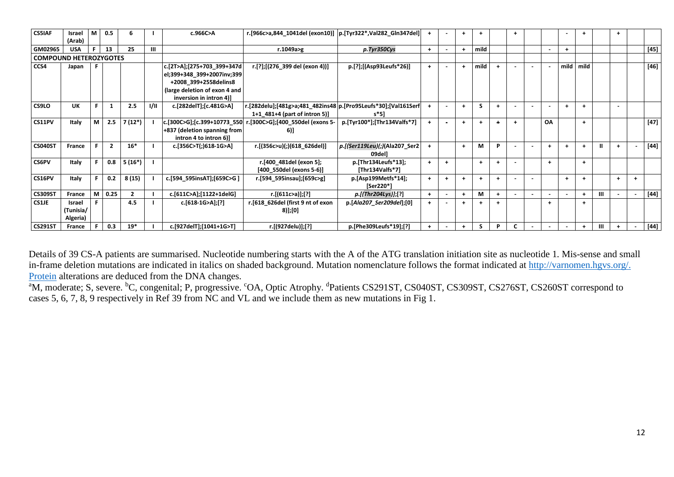| <b>CS5IAF</b>                 | Israel        | l M | 0.5  | 6              |      | c.966C>A                      | r.[966c>a,844_1041del (exon10)]  p.[Tyr322*,Val282_Gln347del]  |                               | $+$ | $\overline{\phantom{a}}$ | $\pm$     |                      |                      | $\ddot{}$                |        |                |           | $\pm$                |   | ÷         |        |
|-------------------------------|---------------|-----|------|----------------|------|-------------------------------|----------------------------------------------------------------|-------------------------------|-----|--------------------------|-----------|----------------------|----------------------|--------------------------|--------|----------------|-----------|----------------------|---|-----------|--------|
|                               | (Arab)        |     |      |                |      |                               |                                                                |                               |     |                          |           |                      |                      |                          |        |                |           |                      |   |           |        |
| GM02965                       | <b>USA</b>    | F.  | 13   | 25             | Ш    |                               | r.1049a>g                                                      | p.Tyr350Cys                   | $+$ |                          | $+$       | mild                 |                      |                          |        | $\blacksquare$ |           |                      |   |           | $[45]$ |
| <b>COMPOUND HETEROZYGOTES</b> |               |     |      |                |      |                               |                                                                |                               |     |                          |           |                      |                      |                          |        |                |           |                      |   |           |        |
| CCS4                          | Japan         |     |      |                |      | c.[2T>A];[275+703 399+347d    | r.[?];[(276 399 del (exon 4))]                                 | p.[?];[(Asp93Leufs*26)]       | $+$ | $\sim$                   | $+$       | mild                 | $+$                  | $\sim$                   | $\sim$ | $\blacksquare$ | mild      | mild                 |   |           | $[46]$ |
|                               |               |     |      |                |      | el;399+348 399+2007inv;399    |                                                                |                               |     |                          |           |                      |                      |                          |        |                |           |                      |   |           |        |
|                               |               |     |      |                |      | +2008 399+2558delins8         |                                                                |                               |     |                          |           |                      |                      |                          |        |                |           |                      |   |           |        |
|                               |               |     |      |                |      | (large deletion of exon 4 and |                                                                |                               |     |                          |           |                      |                      |                          |        |                |           |                      |   |           |        |
|                               |               |     |      |                |      | inversion in intron 4)]       |                                                                |                               |     |                          |           |                      |                      |                          |        |                |           |                      |   |           |        |
| CS9LO                         | UK            |     |      | 2.5            | 1/11 | c.[282delT];[c.481G>A]        | r.[282delu];[481g>a;481_482ins48 p.[Pro95Leufs*30];[Val161Serf |                               | $+$ | $\overline{a}$           | $+$       | <b>S</b>             | $\ddot{}$            |                          |        |                | $+$       | $+$                  |   |           |        |
|                               |               |     |      |                |      |                               | 1+1 481+4 (part of intron 5)]                                  | $s*51$                        |     |                          |           |                      |                      |                          |        |                |           |                      |   |           |        |
| CS11PV                        | Italy         | М   | 2.5  | 7 (12*)        |      | c.[300C>G];[c.399+10773 550]  | r.[300C>G];[400 550del (exons 5-                               | p.[Tyr100*];[Thr134Valfs*7]   | $+$ |                          | $\ddot{}$ | $\overline{1}$       | $\overline{1}$       | $\overline{1}$           |        | OA             |           | $+$                  |   |           | $[47]$ |
|                               |               |     |      |                |      | +837 (deletion spanning from  | 6)]                                                            |                               |     |                          |           |                      |                      |                          |        |                |           |                      |   |           |        |
|                               |               |     |      |                |      | intron 4 to intron 6)]        |                                                                |                               |     |                          |           |                      |                      |                          |        |                |           |                      |   |           |        |
| <b>CS040ST</b>                | France        |     | 2    | $16*$          |      | c.[356C>T(;)618-1G>A]         | r.[(356c>u)(;)(618_626del)]                                    | p.[(Ser119Leu)(;)(Ala207_Ser2 | $+$ |                          | $+$       | M                    | P                    | $\overline{\phantom{a}}$ |        | $+$            | $+$       | $+$                  | Ш | ÷         | [44]   |
|                               |               |     |      |                |      |                               |                                                                | 09dell                        |     |                          |           |                      |                      |                          |        |                |           |                      |   |           |        |
| <b>CS6PV</b>                  | Italy         |     | 0.8  | $5(16*)$       |      |                               | r.[400 481del (exon 5];                                        | p.[Thr134Leufs*13];           | $+$ | $+$                      |           | $\ddot{\phantom{1}}$ | $\ddot{\phantom{1}}$ | $\overline{\phantom{a}}$ |        | $\ddot{+}$     |           | $+$                  |   |           |        |
|                               |               |     |      |                |      |                               | [400_550del (exons 5-6)]                                       | [Thr134Valfs*7]               |     |                          |           |                      |                      |                          |        |                |           |                      |   |           |        |
| CS16PV                        | Italy         |     | 0.2  | 8(15)          |      | c.[594 595insAT];[659C>G]     | r.[594 595insau];[659c>g]                                      | p.[Asp199Metfs*14];           | $+$ | $+$                      | $+$       | $\ddot{\phantom{1}}$ | $\ddot{\phantom{1}}$ | $\overline{\phantom{a}}$ |        |                | $\ddot{}$ | $+$                  |   | $\ddot{}$ |        |
|                               |               |     |      |                |      |                               |                                                                | [Ser220*]                     |     |                          |           |                      |                      |                          |        |                |           |                      |   |           |        |
| <b>CS309ST</b>                | France        | M   | 0.25 | $\overline{2}$ |      | c.[611C>A];[1122+1delG]       | r.[(611c>a)];[?]                                               | p.[(Thr204Lys)];[?]           | $+$ | $\sim$                   | $+$       | M                    | $\ddot{\phantom{1}}$ | $\sim$                   | $\sim$ |                |           | $+$                  | Ш |           | $[44]$ |
| CS1JE                         | <b>Israel</b> |     |      | 4.5            |      | c.[618-1G>A];[?]              | r.[618_626del (first 9 nt of exon                              | p.[Ala207 Ser209del];[0]      | $+$ | $\overline{\phantom{a}}$ | $\ddot{}$ |                      | $\ddot{\phantom{1}}$ |                          |        | $\ddot{}$      |           | $\ddot{\phantom{1}}$ |   |           |        |
|                               | (Tunisia/     |     |      |                |      |                               | 8)];[0]                                                        |                               |     |                          |           |                      |                      |                          |        |                |           |                      |   |           |        |
|                               | Algeria)      |     |      |                |      |                               |                                                                |                               |     |                          |           |                      |                      |                          |        |                |           |                      |   |           |        |
| <b>CS291ST</b>                | France        |     | 0.3  | $19*$          |      | c.[927delT];[1041+1G>T]       | r.[(927delu)];[?]                                              | p.[Phe309Leufs*19];[?]        | $+$ | $\sim$                   | $+$       | S                    | P                    |                          |        |                |           | $+$                  | Ш |           | [44]   |

Details of 39 CS-A patients are summarised. Nucleotide numbering starts with the A of the ATG translation initiation site as nucleotide 1*.* Mis-sense and small in-frame deletion mutations are indicated in italics on shaded background. Mutation nomenclature follows the format indicated at [http://varnomen.hgvs.org/.](http://varnomen.hgvs.org/.%20Protein)  [Protein](http://varnomen.hgvs.org/.%20Protein) alterations are deduced from the DNA changes.

<sup>a</sup>M, moderate; S, severe. <sup>b</sup>C, congenital; P, progressive. <sup>c</sup>OA, Optic Atrophy. <sup>d</sup>Patients CS291ST, CS040ST, CS309ST, CS276ST, CS260ST correspond to cases 5, 6, 7, 8, 9 respectively in Ref 39 from NC and VL and we include them as new mutations in Fig 1.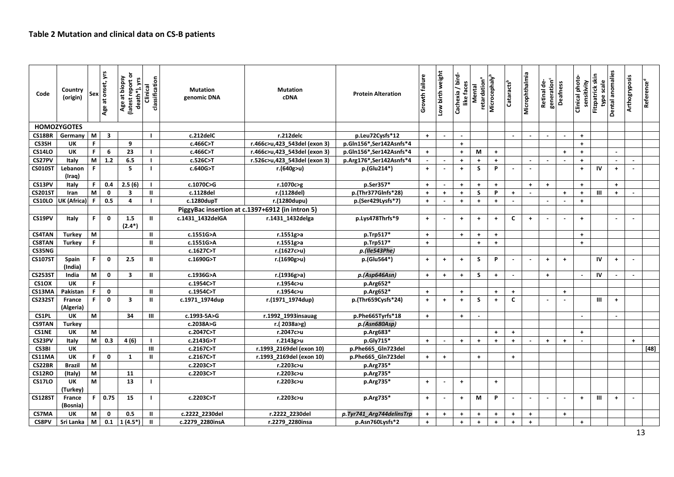| Code           | Country<br>(origin) | Sex          | Age at onset, yrs       | ১<br>Age at biopsy<br>(latest report or<br>death*), yrs | classification<br>Clinical | <b>Mutation</b><br>genomic DNA | <b>Mutation</b><br><b>cDNA</b>                  | <b>Protein Alteration</b> | Growth failure       | Low birth weight     | bird-<br>like faces<br>Cachexia | retardation <sup>a</sup><br>Mental | Microcephaly <sup>t</sup> | Cataracts <sup>b</sup>   | Microphthalmia           | generation <sup>c</sup><br>Retinal de- | Deafness             | Clinical photo-<br>sensitivity | Fitzpatrick skin<br>type scale | Dental anomalies     | <b>Arthogryposis</b> | Reference <sup>®</sup> |
|----------------|---------------------|--------------|-------------------------|---------------------------------------------------------|----------------------------|--------------------------------|-------------------------------------------------|---------------------------|----------------------|----------------------|---------------------------------|------------------------------------|---------------------------|--------------------------|--------------------------|----------------------------------------|----------------------|--------------------------------|--------------------------------|----------------------|----------------------|------------------------|
|                | <b>HOMOZYGOTES</b>  |              |                         |                                                         |                            |                                |                                                 |                           |                      |                      |                                 |                                    |                           |                          |                          |                                        |                      |                                |                                |                      |                      |                        |
| CS18BR         | Germany             | M            | $\overline{\mathbf{3}}$ |                                                         | $\mathbf{I}$               | c.212delC                      | r.212delc                                       | p.Leu72Cysfs*12           | $+$                  | $\sim$               | $\sim$                          |                                    |                           | $\sim$                   | $\sim$                   | $\sim$                                 | $\sim$               | $+$                            |                                |                      |                      |                        |
| <b>CS3SH</b>   | UK                  | $\mathsf F$  |                         | 9                                                       |                            | c.466C>T                       | r.466c>u,423_543del (exon 3)                    | p.Gln156*,Ser142Asnfs*4   |                      |                      | $\ddag$                         |                                    |                           |                          |                          |                                        |                      | $+$                            |                                |                      |                      |                        |
| <b>CS14LO</b>  | UK                  | F            | 6                       | 23                                                      |                            | c.466C>T                       | r.466c>u,423 543del (exon 3)                    | p.Gln156*,Ser142Asnfs*4   | $+$                  |                      | $\ddag$                         | М                                  | $+$                       |                          |                          |                                        | $\ddot{\phantom{1}}$ | $+$                            |                                |                      |                      |                        |
| CS27PV         | Italy               | M            | $1.2$                   | 6.5                                                     | $\mathbf{I}$               | c.526C>T                       | r.526c>u,423 543del (exon 3)                    | p.Arg176*,Ser142Asnfs*4   | $\sim$               | $\overline{a}$       | $\pm$                           | $+$                                | $+$                       |                          | $\overline{\phantom{a}}$ |                                        |                      | $\ddot{\phantom{1}}$           |                                | $\overline{a}$       | $\sim$               |                        |
| <b>CS010ST</b> | Lebanon<br>(Iraq)   | $\mathsf{F}$ |                         | 5                                                       | <sup>1</sup>               | c.640G>T                       | r.(640g>u)                                      | p.(Glu214*)               | $\ddot{\phantom{1}}$ | $\sim$               | $\pm$                           | S                                  | P                         |                          |                          |                                        |                      | $\ddot{\phantom{1}}$           | IV                             | $\ddot{\phantom{1}}$ |                      |                        |
| CS13PV         | Italy               | F.           | 0.4                     | 2.5(6)                                                  | $\mathbf{I}$               | c.1070C>G                      | r.1070c>g                                       | p.Ser357*                 | $+$                  | $\sim$               | $+$                             | $+$                                | $+$                       |                          | $+$                      | $+$                                    |                      | $+$                            |                                | $+$                  |                      |                        |
| <b>CS201ST</b> | Iran                | M            | $\mathbf 0$             | 3                                                       | $\mathbf{H}$               | c.1128del                      | r.(1128del)                                     | p.(Thr377GInfs*28)        | $+$                  | $\ddot{\phantom{1}}$ | $\ddag$                         | S                                  | P                         | $+$                      |                          |                                        | $\ddag$              | $\ddot{\phantom{1}}$           | $\mathbf{III}$                 | $\pm$                | $\sim$               |                        |
| <b>CS10LO</b>  | UK (Africa)         | F            | 0.5                     | $\overline{4}$                                          |                            | c.1280dupT                     | r.(1280dupu)                                    | p.(Ser429Lysfs*7)         | $+$                  | $\sim$               | $\ddot{\phantom{1}}$            | $\ddot{\phantom{1}}$               | $+$                       | $\blacksquare$           |                          | $\sim$                                 | $\sim$               | $+$                            |                                |                      |                      |                        |
|                |                     |              |                         |                                                         |                            |                                | PiggyBac insertion at c.1397+6912 (in intron 5) |                           |                      |                      |                                 |                                    |                           |                          |                          |                                        |                      |                                |                                |                      |                      |                        |
| CS19PV         | Italy               | F.           | $\mathbf{0}$            | 1.5<br>$(2.4*)$                                         | Ш                          | c.1431_1432delGA               | r.1431_1432delga                                | p.Lys478Thrfs*9           | $+$                  | $\sim$               | $\pm$                           | $+$                                | $+$                       | C                        | $+$                      |                                        | $\sim$               | $+$                            |                                | $\sim$               | $\sim$               |                        |
| <b>CS4TAN</b>  | <b>Turkey</b>       | M            |                         |                                                         | Ш                          | c.1551G>A                      | r.1551g>a                                       | p.Trp517*                 | $+$                  |                      | $\pm$                           | $+$                                | $+$                       |                          |                          |                                        |                      | $+$                            |                                |                      |                      |                        |
| <b>CS8TAN</b>  | <b>Turkey</b>       | $\mathsf{F}$ |                         |                                                         | $\mathbf{II}$              | c.1551G>A                      | r.1551g>a                                       | p.Trp517*                 | $+$                  |                      |                                 | $+$                                | $+$                       |                          |                          |                                        |                      | $+$                            |                                |                      |                      |                        |
| CS35NG         |                     |              |                         |                                                         |                            | c.1627C>T                      | r.(1627c>u)                                     | p.(Ile543Phe)             |                      |                      |                                 |                                    |                           |                          |                          |                                        |                      |                                |                                |                      |                      |                        |
| <b>CS107ST</b> | Spain<br>(India)    | F.           | $\mathbf 0$             | 2.5                                                     | $\mathbf{I}$               | c.1690G>T                      | r.(1690g>u)                                     | p.(Glu564*)               | $+$                  | $\ddot{\phantom{1}}$ | $\pm$                           | S                                  | P                         |                          |                          | $\ddot{\phantom{1}}$                   | $\ddot{\phantom{1}}$ |                                | IV                             | $+$                  | $\blacksquare$       |                        |
| <b>CS253ST</b> | India               | M            | $\mathbf 0$             | 3                                                       | Ш                          | c.1936G>A                      | r.(1936g>a)                                     | p.(Asp646Asn)             | $+$                  | $\pm$                | $\pm$                           | S                                  | $\ddot{\phantom{1}}$      |                          |                          | $\ddagger$                             |                      | $\overline{\phantom{a}}$       | IV                             | $\blacksquare$       |                      |                        |
| <b>CS10X</b>   | UK                  | $\mathsf F$  |                         |                                                         |                            | c.1954C>T                      | r.1954c>u                                       | p.Arg652*                 |                      |                      |                                 |                                    |                           |                          |                          |                                        |                      |                                |                                |                      |                      |                        |
| CS13MA         | Pakistan            | F.           | $\mathbf{o}$            |                                                         | $\mathbf{u}$               | c.1954C>T                      | r.1954c>u                                       | p.Arg652*                 | $\ddot{\phantom{1}}$ |                      | $+$                             |                                    | $\ddot{\phantom{1}}$      | $+$                      |                          |                                        | $\ddot{\phantom{1}}$ |                                |                                |                      |                      |                        |
| <b>CS232ST</b> | France<br>(Algeria) | F            | $\mathbf 0$             | $\overline{\mathbf{3}}$                                 | Ш                          | c.1971_1974dup                 | r.(1971_1974dup)                                | p.(Thr659Cysfs*24)        | $+$                  | $\pm$                | $\pm$                           | S                                  | $\ddot{\phantom{1}}$      | $\mathbf c$              |                          |                                        | $\sim$               |                                | $\mathbf{III}$                 | $\ddag$              |                      |                        |
| CS1PL          | UK                  | M            |                         | 34                                                      | Ш                          | c.1993-5A>G                    | r.1992 1993insauag                              | p.Phe665Tyrfs*18          | $+$                  |                      | $+$                             | $\sim$                             |                           |                          |                          |                                        |                      |                                |                                | $\overline{a}$       |                      |                        |
| <b>CS9TAN</b>  | <b>Turkey</b>       |              |                         |                                                         |                            | c.2038A>G                      | r.(2038a>g)                                     | p.(Asn680Asp)             |                      |                      |                                 |                                    |                           |                          |                          |                                        |                      |                                |                                |                      |                      |                        |
| <b>CS1NE</b>   | UK                  | M            |                         |                                                         |                            | c.2047C>T                      | r.2047c>u                                       | p.Arg683*                 |                      |                      |                                 |                                    | $+$                       | $+$                      |                          |                                        |                      | $+$                            |                                |                      |                      |                        |
| CS23PV         | Italy               | M            | 0.3                     | 4(6)                                                    | H                          | c.2143G>T                      | r.2143g>u                                       | p.Gly715*                 | $+$                  | $\sim$               | $+$                             | $\ddot{\phantom{1}}$               | $\overline{1}$            | $\ddot{\phantom{1}}$     |                          | $\ddot{}$                              | $+$                  |                                |                                |                      | $\ddot{}$            |                        |
| CS3BI          | UK                  |              |                         |                                                         | Ш                          | c.2167C>T                      | r.1993_2169del (exon 10)                        | p.Phe665_GIn723del        |                      |                      |                                 |                                    |                           |                          |                          |                                        |                      |                                |                                |                      |                      | $\left[ 48\right]$     |
| CS11MA         | UK                  | F.           | $\mathbf{o}$            | 1                                                       | Ш                          | c.2167C>T                      | r.1993 2169del (exon 10)                        | p.Phe665_Gln723del        | $+$                  | $+$                  |                                 | $+$                                |                           | $+$                      |                          |                                        |                      |                                |                                |                      |                      |                        |
| CS22BR         | <b>Brazil</b>       | M            |                         |                                                         |                            | c.2203C>T                      | r.2203c>u                                       | p.Arg735*                 |                      |                      |                                 |                                    |                           |                          |                          |                                        |                      |                                |                                |                      |                      |                        |
| <b>CS12RO</b>  | (Italy)             | M            |                         | 11                                                      |                            | c.2203C>T                      | r.2203c>u                                       | p.Arg735*                 |                      |                      |                                 |                                    |                           |                          |                          |                                        |                      |                                |                                |                      |                      |                        |
| <b>CS17LO</b>  | UK<br>(Turkey)      | M            |                         | 13                                                      |                            |                                | r.2203c>u                                       | p.Arg735*                 | $+$                  | $\sim$               | $\pm$                           |                                    | $+$                       |                          |                          |                                        |                      |                                |                                |                      |                      |                        |
| <b>CS128ST</b> | France<br>(Bosnia)  | F            | 0.75                    | 15                                                      |                            | c.2203C > T                    | r.2203c>u                                       | p.Arg735*                 | $+$                  | $\sim$               | $+$                             | М                                  | <b>P</b>                  | $\overline{\phantom{a}}$ | $\sim$                   |                                        | $\sim$               | $+$                            | Ш                              | $+$                  | $\sim$               |                        |
| CS7MA          | UK                  | M            | $\mathbf 0$             | 0.5                                                     | Ш                          | c.2222 2230del                 | r.2222 2230del                                  | p.Tyr741_Arg744delinsTrp  | $+$                  | $\ddot{\phantom{1}}$ | $\ddot{\phantom{1}}$            | $+$                                | $\pm$                     | $+$                      | $\ddag$                  |                                        | $\ddot{\phantom{1}}$ |                                |                                |                      |                      |                        |
| <b>CS8PV</b>   | Sri Lanka           | M            | 0.1                     | $1(4.5*)$                                               | п                          | c.2279 2280insA                | r.2279 2280insa                                 | p.Asn760Lysfs*2           | $+$                  |                      | $+$                             | $\ddot{+}$                         | $\ddot{\phantom{1}}$      | $+$                      | $\ddot{\phantom{1}}$     |                                        |                      | $+$                            |                                |                      |                      |                        |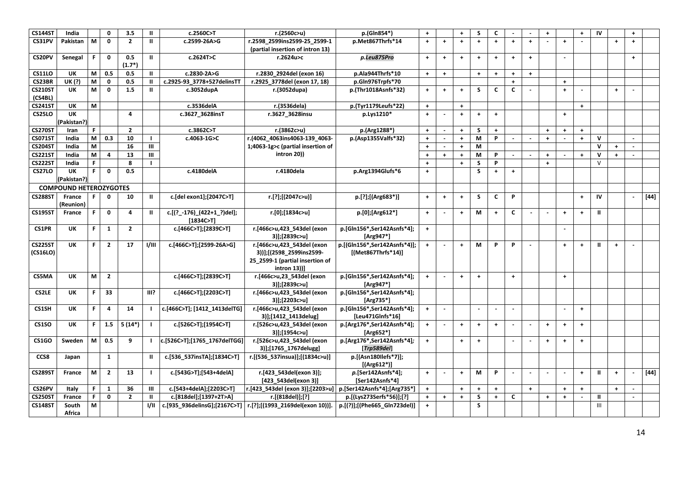| <b>CS144ST</b> | India                         |                                                                                       | 0              | 3.5            | $\mathbf{H}$   | c.2560C>T                    | r.(2560c>u)                                                     | p.(Gln854*)                  | $+$                  |                      | $\ddot{\phantom{1}}$ | S                        | C                    |                          |                      | $+$                  |            | $\ddot{\phantom{1}}$ | IV            |                      | $+$                      |                |
|----------------|-------------------------------|---------------------------------------------------------------------------------------|----------------|----------------|----------------|------------------------------|-----------------------------------------------------------------|------------------------------|----------------------|----------------------|----------------------|--------------------------|----------------------|--------------------------|----------------------|----------------------|------------|----------------------|---------------|----------------------|--------------------------|----------------|
| CS31PV         | Pakistan                      | M                                                                                     | $\mathbf 0$    | $\overline{2}$ | $\mathbf{II}$  | c.2599-26A>G                 | r.2598 2599ins2599-25 2599-1                                    | p.Met867Thrfs*14             | $+$                  | $\ddot{}$            | $\ddot{\phantom{1}}$ | $\ddot{\phantom{1}}$     | $\ddot{}$            | $\ddot{\phantom{1}}$     | $\ddot{\phantom{1}}$ |                      | $\ddot{}$  |                      |               | $\overline{1}$       | $\ddot{\phantom{1}}$     |                |
|                |                               |                                                                                       |                |                |                |                              | (partial insertion of intron 13)                                |                              |                      |                      |                      |                          |                      |                          |                      |                      |            |                      |               |                      |                          |                |
| CS20PV         | Senegal                       | F.                                                                                    | $\mathbf{0}$   | 0.5            | $\mathbf{II}$  | c.2624T>C                    | r.2624u>c                                                       | p.Leu875Pro                  | $+$                  | $\ddag$              | $+$                  | $+$                      | $+$                  | $\ddot{\phantom{1}}$     | $\ddot{\phantom{1}}$ |                      |            |                      |               |                      | $+$                      |                |
|                |                               |                                                                                       |                | $(1.7*)$       |                |                              |                                                                 |                              |                      |                      |                      |                          |                      |                          |                      |                      |            |                      |               |                      |                          |                |
| <b>CS11LO</b>  | UK                            | M                                                                                     | 0.5            | 0.5            | $\mathbf{II}$  | c.2830-2A>G                  | r.2830 2924del (exon 16)                                        | p.Ala944Thrfs*10             | $+$                  | $\ddot{\phantom{1}}$ |                      | $\ddot{\phantom{1}}$     | $\ddot{\phantom{1}}$ | $\overline{1}$           | $+$                  |                      |            |                      |               |                      |                          |                |
| CS23BR         | UK (?)                        | M                                                                                     | 0              | 0.5            | Ш              | c.2925-93 3778+527delinsTT   | r.2925 3778del (exon 17, 18)                                    | p.Gln976Trpfs*70             |                      |                      |                      |                          |                      | $\ddag$                  |                      |                      | $\ddot{}$  |                      |               |                      |                          |                |
| <b>CS210ST</b> | UK                            | M                                                                                     | $\mathbf{0}$   | 1.5            | Ш              | c.3052dupA                   | r.(3052dupa)                                                    | p.(Thr1018Asnfs*32)          | $+$                  | $\ddot{\phantom{1}}$ | $+$                  | <sub>S</sub>             | $\mathsf{C}$         | $\mathbf c$              |                      |                      | $\ddot{}$  |                      |               | $+$                  |                          |                |
| (CS4BL)        |                               |                                                                                       |                |                |                |                              |                                                                 |                              |                      |                      |                      |                          |                      |                          |                      |                      |            |                      |               |                      |                          |                |
| <b>CS241ST</b> | UK                            | M                                                                                     |                |                |                | c.3536delA                   | r.(3536dela)                                                    | p.(Tyr1179Leufs*22)          | $+$                  |                      | $\ddagger$           |                          |                      |                          |                      |                      |            | $\ddot{\phantom{1}}$ |               |                      |                          |                |
| <b>CS25LO</b>  | UK                            |                                                                                       |                | 4              |                | c.3627 3628insT              | r.3627 3628insu                                                 | p.Lys1210*                   | $+$                  |                      | $\ddot{\phantom{1}}$ | $\ddag$                  | $+$                  |                          |                      |                      | $\ddot{}$  |                      |               |                      |                          |                |
|                | (Pakistan?)                   |                                                                                       |                |                |                |                              |                                                                 |                              |                      |                      |                      |                          |                      |                          |                      |                      |            |                      |               |                      |                          |                |
| <b>CS270ST</b> | Iran                          | F                                                                                     |                | $\overline{2}$ |                | c.3862C>T                    | r.(3862c>u)                                                     | p.(Arg1288*)                 | $+$                  |                      | $+$                  | S                        | $+$                  |                          |                      | $\ddot{}$            | $\ddot{}$  | $\ddot{\phantom{1}}$ |               |                      |                          |                |
| <b>CS071ST</b> | India                         | M                                                                                     | 0.3            | 10             | $\blacksquare$ | c.4063-1G>C                  | r.(4062_4063ins4063-139_4063-                                   | p.(Asp1355Valfs*32)          | $+$                  | $\sim$               | $\ddot{\phantom{1}}$ | M                        | P                    |                          |                      | $\ddot{+}$           |            | $\ddot{+}$           | $\mathsf{v}$  |                      |                          |                |
| <b>CS204ST</b> | India                         | $\mathsf{M}% _{T}=\mathsf{M}_{T}\!\left( a,b\right) ,\ \mathsf{M}_{T}=\mathsf{M}_{T}$ |                | 16             | $\mathbf{III}$ |                              | 1;4063-1g>c (partial insertion of                               |                              | $\ddot{\phantom{1}}$ | $\sim$               | $\color{red}+$       | M                        |                      |                          |                      |                      |            |                      | $\mathbf v$   | $\ddag$              |                          |                |
| <b>CS221ST</b> | India                         | M                                                                                     | 4              | 13             | Ш              |                              | intron 20))                                                     |                              | $\ddot{\phantom{1}}$ | $+$                  | $+$                  | M                        | P                    | $\sim$                   | $\sim$               | $+$                  | $\sim$     | $\ddot{\phantom{1}}$ | $\mathbf{v}$  | $\ddot{}$            | $\mathbf{r}$             |                |
| <b>CS222ST</b> | India                         | F.                                                                                    |                | 8              | -1             |                              |                                                                 |                              | $+$                  |                      | $+$                  | S                        | P                    |                          |                      | $\ddot{}$            |            |                      | $\vee$        |                      |                          |                |
| <b>CS27LO</b>  | UK                            | F.                                                                                    | 0              | 0.5            |                | c.4180delA                   | r.4180dela                                                      | p.Arg1394Glufs*6             | $+$                  |                      |                      | S                        | $+$                  | $+$                      |                      |                      |            |                      |               |                      |                          |                |
|                | (Pakistan?)                   |                                                                                       |                |                |                |                              |                                                                 |                              |                      |                      |                      |                          |                      |                          |                      |                      |            |                      |               |                      |                          |                |
|                | <b>COMPOUND HETEROZYGOTES</b> |                                                                                       |                |                |                |                              |                                                                 |                              |                      |                      |                      |                          |                      |                          |                      |                      |            |                      |               |                      |                          |                |
| <b>CS288ST</b> | France                        |                                                                                       | $\mathbf{0}$   | 10             | Ш              | c.[del exon1];[2047C>T]      | r.[?];[(2047c>u)]                                               | p.[?];[(Arg683*)]            | $\pm$                | $\ddag$              | $\color{red}+$       | S                        | $\mathbf c$          | P                        |                      |                      |            | $+$                  | IV            |                      | $\overline{\phantom{a}}$ | $[44]$         |
|                | (Reunion)                     |                                                                                       |                |                |                |                              |                                                                 |                              |                      |                      |                      |                          |                      |                          |                      |                      |            |                      |               |                      |                          |                |
| <b>CS195ST</b> | France                        | F.                                                                                    | $\mathbf 0$    | $\overline{4}$ | Ш              | c.[(?_-176)_(422+1_?)del];   | r.[0];[1834c>u]                                                 | p.[0];[Arg612*]              | $\pm$                | $\sim$               | $+$                  | M                        | $+$                  | $\mathbf c$              |                      |                      | $\ddagger$ | $\ddot{\phantom{1}}$ | $\mathbf{II}$ |                      |                          |                |
|                |                               |                                                                                       |                |                |                | [1834C>T]                    |                                                                 |                              |                      |                      |                      |                          |                      |                          |                      |                      |            |                      |               |                      |                          |                |
| <b>CS1PR</b>   | UK                            | F.                                                                                    | 1              | $\mathbf{2}$   |                | c.[466C>T];[2839C>T]         | r.[466c>u,423 543del (exon                                      | p.[Gln156*,Ser142Asnfs*4];   | $+$                  |                      |                      |                          |                      |                          |                      |                      |            |                      |               |                      |                          |                |
|                |                               |                                                                                       |                |                |                |                              | 3)];[2839c>u]                                                   | [Arg947*]                    |                      |                      |                      |                          |                      |                          |                      |                      |            |                      |               |                      |                          |                |
| <b>CS225ST</b> | UK                            | F.                                                                                    | $\overline{2}$ | 17             | 1/111          | c.[466C>T];[2599-26A>G]      | r.[466c>u,423 543del (exon                                      | p.[(Gln156*,Ser142Asnfs*4)]; | $+$                  |                      | $+$                  | М                        | P                    | P                        |                      |                      | $\ddot{}$  | $\ddot{\phantom{1}}$ | $\mathbf{u}$  | $\ddot{\phantom{1}}$ |                          |                |
| (CS16LO)       |                               |                                                                                       |                |                |                |                              | 3))];[(2598 2599ins2599-                                        | [(Met867Thrfs*14)]           |                      |                      |                      |                          |                      |                          |                      |                      |            |                      |               |                      |                          |                |
|                |                               |                                                                                       |                |                |                |                              | 25 2599-1 (partial insertion of                                 |                              |                      |                      |                      |                          |                      |                          |                      |                      |            |                      |               |                      |                          |                |
|                |                               |                                                                                       |                |                |                |                              | intron 13))]                                                    |                              |                      |                      |                      |                          |                      |                          |                      |                      |            |                      |               |                      |                          |                |
| CS5MA          | UK                            | M                                                                                     | $\overline{2}$ |                |                | c.[466C>T];[2839C>T]         | r.[466c>u,23_543del (exon                                       | p.[Gln156*,Ser142Asnfs*4];   | $+$                  | $\sim$               | $+$                  | $\ddot{\phantom{1}}$     |                      | $+$                      |                      |                      | $\ddot{}$  |                      |               |                      |                          |                |
|                |                               |                                                                                       |                |                |                |                              | 3)];[2839c>u]                                                   | [Arg947*]                    |                      |                      |                      |                          |                      |                          |                      |                      |            |                      |               |                      |                          |                |
| <b>CS2LE</b>   | UK                            | F.                                                                                    | 33             |                | III?           | c.[466C>T];[2203C>T]         | r.[466c>u,423_543del (exon                                      | p.[Gln156*,Ser142Asnfs*4];   |                      |                      |                      |                          |                      |                          |                      |                      |            |                      |               |                      |                          |                |
|                |                               |                                                                                       |                |                |                |                              | 3)];[2203c>u]                                                   | [Arg735*]                    |                      |                      |                      |                          |                      |                          |                      |                      |            |                      |               |                      |                          |                |
| CS1SH          | <b>UK</b>                     | F.                                                                                    | $\overline{4}$ | 14             | $\blacksquare$ | c.[466C>T]; [1412 1413delTG] | r.[466c>u,423 543del (exon                                      | p.[Gln156*,Ser142Asnfs*4];   | $\pm$                | $\blacksquare$       |                      | $\overline{\phantom{a}}$ | $\blacksquare$       | $\overline{\phantom{a}}$ |                      |                      | $\sim$     | $\ddot{\phantom{1}}$ |               |                      |                          |                |
|                |                               |                                                                                       |                |                |                |                              | 3)];[1412 1413delug]                                            | [Leu471GInfs*16]             |                      |                      |                      |                          |                      |                          |                      |                      |            |                      |               |                      |                          |                |
| CS1SO          | UK                            | F.                                                                                    | 1.5            | $5(14*)$       | $\mathbf{I}$   | c.[526C>T];[1954C>T]         | r.[526c>u,423_543del (exon                                      | p.[Arg176*,Ser142Asnfs*4];   | $\pm$                | $\sim$               | $+$                  | $\pm$                    | $+$                  |                          |                      | $+$                  | $\ddot{}$  | $\ddot{\phantom{1}}$ |               |                      |                          |                |
|                |                               |                                                                                       |                |                |                |                              | 3)];[1954c>u]                                                   | [Arg652 $*$ ]                |                      |                      |                      |                          |                      |                          |                      |                      |            |                      |               |                      |                          |                |
| CS1GO          | Sweden                        | М                                                                                     | 0.5            | 9              | $\mathbf{I}$   | c.[526C>T];[1765_1767delTGG] | r.[526c>u,423 543del (exon                                      | p.[Arg176*,Ser142Asnfs*4];   | $+$                  |                      | $\ddot{\phantom{1}}$ | $\pm$                    |                      |                          |                      | $\ddagger$           | $\ddot{}$  | $+$                  |               |                      |                          |                |
|                |                               |                                                                                       |                |                |                |                              | 3)];[1765_1767delugg]                                           | [Trp589del]                  |                      |                      |                      |                          |                      |                          |                      |                      |            |                      |               |                      |                          |                |
| CCS8           | Japan                         |                                                                                       | 1              |                | $\mathbf{I}$   | c.[536 537insTA];[1834C>T]   | r.[(536 537insua)];[(1834c>u)]                                  | p.[(Asn180llefs*7)];         |                      |                      |                      |                          |                      |                          |                      |                      |            |                      |               |                      |                          |                |
|                |                               |                                                                                       |                |                |                |                              |                                                                 | $[(Arg612*)]$                |                      |                      |                      |                          |                      |                          |                      |                      |            |                      |               |                      |                          |                |
| <b>CS289ST</b> | France                        | M                                                                                     | $\overline{2}$ | 13             | $\blacksquare$ | c.[543G>T];[543+4delA]       | r.[423_543del(exon 3)];                                         | p.[Ser142Asnfs*4];           | $+$                  |                      | $\ddot{}$            | M                        | P                    |                          |                      |                      |            | $+$                  | $\mathbf{H}$  | $\ddot{\phantom{1}}$ | $\sim$                   | $\boxed{[44]}$ |
|                |                               |                                                                                       |                |                |                |                              | [423 543del(exon 3)]                                            | [Ser142Asnfs*4]              |                      |                      |                      |                          |                      |                          |                      |                      |            |                      |               |                      |                          |                |
| CS26PV         | Italy                         | F.                                                                                    | $\mathbf{1}$   | 36             | $\mathbf{H}$   | c.[543+4delA];[2203C>T]      | r.[423_543del (exon 3)];[2203>u]                                | p.[Ser142Asnfs*4];[Arg735*]  | $+$                  |                      | $\ddot{\phantom{1}}$ | $\ddag$                  | $+$                  |                          | $\ddot{}$            |                      | $\ddot{}$  | $\color{red}+$       |               | $+$                  |                          |                |
| <b>CS250ST</b> | France                        | F                                                                                     | $\mathbf 0$    | $\overline{2}$ | $\mathbf{II}$  | c.[818del];[1397+2T>A]       | r.[(818del)];[?]                                                | p.[(Lys273Serfs*56)];[?]     | $+$                  | $\ddag$              | $+$                  | $\mathsf{s}$             | $+$                  | C                        |                      | $\ddot{\phantom{1}}$ | $\ddot{}$  | $\sim$               | Ш             |                      |                          |                |
| <b>CS148ST</b> | South                         | M                                                                                     |                |                | I/II           |                              | c.[935 936delinsG];[2167C>T]   r.[?];[(1993 2169del(exon 10))]. | p.[(?)];[(Phe665_Gln723del)] | $+$                  |                      |                      | S                        |                      |                          |                      |                      |            |                      | Ш             |                      |                          |                |
|                | Africa                        |                                                                                       |                |                |                |                              |                                                                 |                              |                      |                      |                      |                          |                      |                          |                      |                      |            |                      |               |                      |                          |                |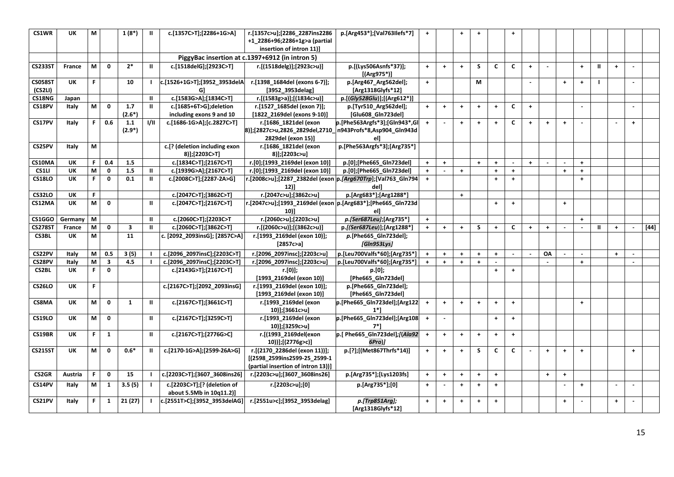| CS1WR                     | UK        | M  |                         | $1(8^*)$                | $\mathbf{u}$   | c.[1357C>T];[2286+1G>A]                                 | r.[1357c>u];[2286_2287ins2286<br>+1 2286+96;2286+1g>a (partial<br>insertion of intron 11)]               | p.[Arg453*];[Val763Ilefs*7]                 | $\pm$                |                      | $\ddot{\phantom{1}}$ | $+$                  |                      | $+$                  |                      |                      |           |                      |               |                      |     |        |
|---------------------------|-----------|----|-------------------------|-------------------------|----------------|---------------------------------------------------------|----------------------------------------------------------------------------------------------------------|---------------------------------------------|----------------------|----------------------|----------------------|----------------------|----------------------|----------------------|----------------------|----------------------|-----------|----------------------|---------------|----------------------|-----|--------|
|                           |           |    |                         |                         |                |                                                         | PiggyBac insertion at c.1397+6912 (in intron 5)                                                          |                                             |                      |                      |                      |                      |                      |                      |                      |                      |           |                      |               |                      |     |        |
| <b>CS233ST</b>            | France    | M  | $\mathbf 0$             | $2*$                    | $\mathbf{II}$  | c.[1518delG];[2923C>T]                                  | r.[(1518delg)];[2923c>u)]                                                                                | p.[(Lys506Asnfs*37)];<br>$[(Arg975*)]$      | $+$                  | $\ddag$              | $+$                  | S.                   | C                    | C                    | $+$                  |                      |           | $\ddot{\phantom{1}}$ | $\mathbf{II}$ | $+$                  |     |        |
| <b>CS058ST</b><br>(CS2LI) | <b>UK</b> | F. |                         | 10                      |                | c.[1526+1G>T];[3952_3953delA<br>G)                      | r.[1398_1684del (exons 6-7)];<br>[3952_3953delag]                                                        | p.[Arg467_Arg562del];<br>[Arg1318Glyfs*12]  | $\pm$                |                      |                      | M                    |                      |                      |                      |                      | $\ddot{}$ | $\ddot{\phantom{1}}$ |               |                      |     |        |
| CS18NG                    | Japan     |    |                         |                         | $\mathbf{I}$   | c.[1583G>A];[1834C>T]                                   | r.[(1583g>a)];[(1834c>u)]                                                                                | p.[(Gly528Glu)];[(Arg612*)]                 |                      |                      |                      |                      |                      |                      |                      |                      |           |                      |               |                      |     |        |
| CS18PV                    | Italy     | M  | $\mathbf{0}$            | 1.7<br>$(2.6*)$         | $\mathbf{II}$  | c.[1685+6T>G];deletion<br>including exons 9 and 10      | r.[1527_1685del (exon 7)];<br>[1822_2169del (exons 9-10)]                                                | p.[Tyr510 Arg562del];<br>[Glu608_Gln723del] | $+$                  | $\ddag$              | $+$                  | $\pm$                | $\ddot{\phantom{1}}$ | C                    | $\ddot{\phantom{1}}$ |                      |           |                      |               |                      |     |        |
| CS17PV                    | Italy     | F. | 0.6                     | 1.1<br>$(2.9^*)$        | 1/11           | c.[1686-1G>A];[c.2827C>T]                               | r.[1686 1821del (exon<br>8)];[2827c>u,2826_2829del,2710_n943Profs*8,Asp904_Gln943d<br>2829del (exon 15)] | p.[Phe563Argfs*3];[Gln943*,Gl<br>ell        | $+$                  | $\sim$               | $\ddot{\phantom{1}}$ | $\ddot{\phantom{1}}$ | $+$                  | C                    | $\ddot{}$            | $\ddagger$           | $\ddot{}$ |                      |               |                      | $+$ |        |
| CS25PV                    | Italy     | M  |                         |                         |                | c.[? (deletion including exon<br>8)];[2203C>T]          | r.[1686 1821del (exon<br>8)];[2203c>u]                                                                   | p.[Phe563Argfs*3];[Arg735*]                 |                      |                      |                      |                      |                      |                      |                      |                      |           |                      |               |                      |     |        |
| CS10MA                    | UK        | F. | 0.4                     | 1.5                     |                | c.[1834C>T];[2167C>T]                                   | r.[0];[1993 2169del (exon 10)]                                                                           | p.[0];[Phe665_Gln723del]                    | $+$                  | $\ddag$              |                      | $\pm$                | $\ddag$              |                      | $\ddot{\phantom{1}}$ |                      |           | $\ddot{\phantom{1}}$ |               |                      |     |        |
| CS1LI                     | UK        | M  | $\mathbf 0$             | 1.5                     | $\mathbf{II}$  | c.[1939G>A];[2167C>T]                                   | r.[0];[1993 2169del (exon 10)]                                                                           | p.[0];[Phe665 Gln723del]                    | $+$                  |                      | $\ddagger$           |                      | $\ddot{\phantom{1}}$ | $+$                  |                      |                      | $\ddot{}$ | $\ddot{\phantom{1}}$ |               |                      |     |        |
| <b>CS18LO</b>             | <b>UK</b> | F. | $\mathbf 0$             | 0.1                     | $\mathbf{II}$  | c.[2008C>T];[2287-2A>G]                                 | .[2008c>u];[2287_2382del (exon p. <i>[Arg670Trp</i> ];[Val763_Gln794<br>12)]                             | del]                                        | $\ddot{\phantom{1}}$ |                      |                      |                      | $\ddot{\phantom{1}}$ | $+$                  |                      |                      |           | $\ddot{\phantom{1}}$ |               |                      |     |        |
| <b>CS32LO</b>             | <b>UK</b> | F. |                         |                         |                | c.[2047C>T];[3862C>T]                                   | r.[2047c>u];[3862c>u]                                                                                    | p.[Arg683*];[Arg1288*]                      |                      |                      | $+$                  |                      |                      |                      |                      |                      |           |                      |               |                      |     |        |
| CS12MA                    | UK        | M  | $\mathbf{o}$            |                         | $\mathbf{II}$  | c.[2047C>T];[2167C>T]                                   | .[2047c>u];[1993_2169del (exon  p.[Arg683*];[Phe665_Gln723d<br>10)]                                      | el]                                         |                      |                      |                      |                      | $+$                  | $\ddot{\phantom{1}}$ |                      |                      | $+$       |                      |               |                      |     |        |
| CS1GGO                    | Germany   | M  |                         |                         | $\mathbf{H}$   | c.[2060C>T];[2203C>T                                    | r.[2060c>u];[2203c>u]                                                                                    | p.[Ser687Leu];[Arg735*]                     | $+$                  |                      |                      |                      |                      |                      |                      |                      |           | $\ddot{\phantom{1}}$ |               |                      |     |        |
| <b>CS278ST</b>            | France    | M  | 0                       | $\overline{\mathbf{3}}$ | $\mathbf{u}$   | c.[2060C>T];[3862C>T]                                   | r.[(2060c>u)];[(3862c>u)]                                                                                | p.[(Ser687Leu)];[Arg1288*]                  | $+$                  | $\ddag$              | $\ddagger$           | S                    | $+$                  | C                    | $+$                  | $\ddot{\phantom{1}}$ |           |                      | Ш             | $\ddot{\phantom{1}}$ |     | $[44]$ |
| <b>CS3BL</b>              | UK        | M  |                         | 11                      |                | c. [2092_2093insG]; [2857C>A]                           | r.[1993_2169del (exon 10)];<br>[2857c>a]                                                                 | p.[Phe665_Gln723del];<br>[Gln953Lys]        |                      |                      |                      |                      |                      |                      |                      |                      |           |                      |               |                      |     |        |
| CS22PV                    | Italy     | M  | 0.5                     | 3(5)                    |                | c.[2096_2097insC];[2203C>T]                             | r.[2096_2097insc];[2203c>u]                                                                              | p.[Leu700Valfs*60];[Arg735*]                | $+$                  | $\ddag$              | $+$                  | $\color{red}+$       | $+$                  |                      |                      | OA                   |           |                      |               | $+$                  |     |        |
| CS28PV                    | Italy     | M  | $\overline{\mathbf{3}}$ | 4.5                     |                | c.[2096_2097insC];[2203C>T]                             | r.[2096_2097insc];[2203c>u]                                                                              | p.[Leu700Valfs*60];[Arg735*]                | $+$                  | $\ddot{+}$           | $\ddot{+}$           | $\ddot{\phantom{1}}$ |                      |                      |                      |                      |           | $+$                  |               |                      |     |        |
| <b>CS2BL</b>              | UK        | F. | $\mathbf{0}$            |                         |                | c.[2143G>T];[2167C>T]                                   | r.[0)];<br>[1993 2169del (exon 10)]                                                                      | p.[0];<br>[Phe665 Gln723del]                |                      |                      |                      |                      | $+$                  | $+$                  |                      |                      |           |                      |               |                      |     |        |
| <b>CS26LO</b>             | UK        | F. |                         |                         |                | c.[2167C>T];[2092_2093insG]                             | r.[1993 2169del (exon 10)];<br>[1993_2169del (exon 10)]                                                  | p.[Phe665_Gln723del];<br>[Phe665_Gln723del] |                      |                      |                      |                      |                      |                      |                      |                      |           |                      |               |                      |     |        |
| CS8MA                     | UK        | M  | $\mathbf 0$             | $\mathbf{1}$            | $\mathbf{II}$  | c.[2167C>T];[3661C>T]                                   | r.[1993 2169del (exon<br>10)];[3661c>u]                                                                  | p.[Phe665_Gln723del];[Arg122<br>$1*1$       | $\ddot{\phantom{1}}$ | $\ddag$              | $+$                  | $\ddot{\phantom{1}}$ | $\ddot{\phantom{1}}$ | $+$                  |                      |                      |           | $\ddot{\phantom{1}}$ |               |                      |     |        |
| <b>CS19LO</b>             | <b>UK</b> | M  | $\mathbf 0$             |                         | $\mathbf{II}$  | c.[2167C>T];[3259C>T]                                   | r.[1993_2169del (exon<br>10)];[3259c>u]                                                                  | p.[Phe665_Gln723del];[Arg108<br>7*]         | $\ddot{\phantom{1}}$ | $\blacksquare$       |                      |                      | $\ddot{\phantom{1}}$ | $\ddot{\phantom{1}}$ |                      |                      |           |                      |               |                      |     |        |
| CS19BR                    | UK        | F. | $\mathbf{1}$            |                         | $\mathbf{II}$  | c.[2167C>T];[2776G>C]                                   | r.[(1993 2169del(exon<br>10))];[(2776g>c)]                                                               | p.[ Phe665_Gln723del];[(Ala92<br>6Pro)]     | $\pm$                | $\ddag$              | $+$                  | $+$                  | $+$                  | $\ddot{\phantom{1}}$ |                      |                      |           |                      |               |                      |     |        |
| <b>CS215ST</b>            | <b>UK</b> | M  | $\mathbf 0$             | $0.6*$                  | Ш              | c.[2170-1G>A];[2599-26A>G]                              | r.[(2170_2286del (exon 11))];<br>[(2598_2599ins2599-25_2599-1<br>(partial insertion of intron 13))]      | p.[?];[(Met867Thrfs*14)]                    | $+$                  | $+$                  | $+$                  | S                    | C                    | C                    |                      | $\ddagger$           | $\ddot{}$ | $\ddot{\phantom{1}}$ |               |                      | $+$ |        |
| <b>CS2GR</b>              | Austria   | F. | 0                       | 15                      | $\mathbf{I}$   | c.[2203C>T];[3607 3608ins26]                            | r.[2203c>u];[3607_3608ins26]                                                                             | p.[Arg735*];[Lys1203fs]                     | $+$                  | $\ddag$              | $\ddagger$           | $\ddag$              | $+$                  |                      |                      | $\ddagger$           | $\ddot{}$ |                      |               |                      |     |        |
| CS14PV                    | Italy     | M  | $\mathbf{1}$            | 3.5(5)                  | $\blacksquare$ | c.[2203C>T];[? (deletion of<br>about 5.5Mb in 10q11.2)] | r.[2203c>u];[0]                                                                                          | p.[Arg735*];[0]                             | $+$                  |                      | $+$                  | $\ddot{\phantom{1}}$ | $+$                  |                      |                      |                      |           | $+$                  |               |                      |     |        |
| CS21PV                    | Italy     | F. | 1                       | 21(27)                  | $\blacksquare$ | c.[2551T>C];[3952 3953delAG]                            | r.[2551u>c];[3952_3953delag]                                                                             | $p.[Trp851Arg]$ ;<br>[Arg1318Glyfs*12]      | $\ddot{\phantom{1}}$ | $\ddot{\phantom{1}}$ | $+$                  | $\pm$                | $+$                  |                      |                      |                      | $\ddot{}$ |                      |               | $+$                  |     |        |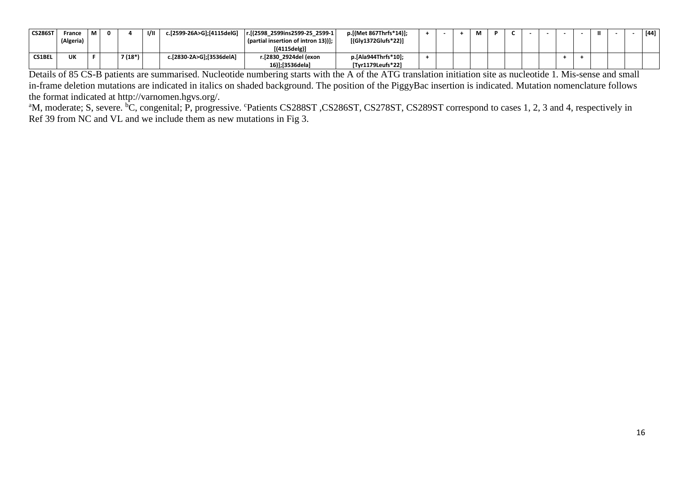| <b>CS286ST</b> | France    | . M | 0 |         | 1/11 | c.[2599-26A>G];[4115delG] | r.[(2598 2599ins2599-25 2599-1     | p.[(Met 867Thrfs*14)]; |  | М |  |  |  |  | [44] |
|----------------|-----------|-----|---|---------|------|---------------------------|------------------------------------|------------------------|--|---|--|--|--|--|------|
|                | (Algeria) |     |   |         |      |                           | partial insertion of intron 13))]; | [(Gly1372Glufs*22)]    |  |   |  |  |  |  |      |
|                |           |     |   |         |      |                           | [(4115delg)]                       |                        |  |   |  |  |  |  |      |
| <b>CS1BEL</b>  | UK        |     |   | 7 (18*) |      | c.[2830-2A>G];[3536delA]  | r.[2830 2924del (exon              | p.[Ala944Thrfs*10];    |  |   |  |  |  |  |      |
|                |           |     |   |         |      |                           | 16)];[3536dela]                    | [Tyr1179Leufs*22]      |  |   |  |  |  |  |      |

Details of 85 CS-B patients are summarised. Nucleotide numbering starts with the A of the ATG translation initiation site as nucleotide 1*.* Mis-sense and small in-frame deletion mutations are indicated in italics on shaded background. The position of the PiggyBac insertion is indicated. Mutation nomenclature follows the format indicated at http://varnomen.hgvs.org/.

<sup>a</sup>M, moderate; S, severe. <sup>b</sup>C, congenital; P, progressive. <sup>c</sup>Patients CS288ST, CS286ST, CS278ST, CS289ST correspond to cases 1, 2, 3 and 4, respectively in Ref 39 from NC and VL and we include them as new mutations in Fig 3.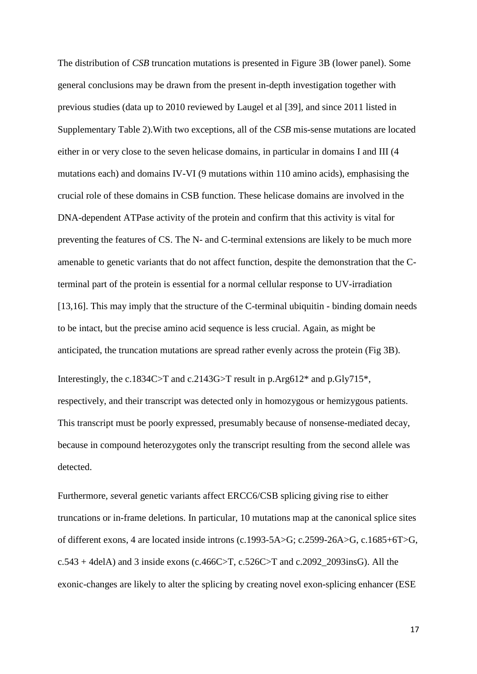The distribution of *CSB* truncation mutations is presented in Figure 3B (lower panel). Some general conclusions may be drawn from the present in-depth investigation together with previous studies (data up to 2010 reviewed by Laugel et al [\[39\]](#page-29-5), and since 2011 listed in Supplementary Table 2).With two exceptions, all of the *CSB* mis-sense mutations are located either in or very close to the seven helicase domains, in particular in domains I and III (4 mutations each) and domains IV-VI (9 mutations within 110 amino acids), emphasising the crucial role of these domains in CSB function. These helicase domains are involved in the DNA-dependent ATPase activity of the protein and confirm that this activity is vital for preventing the features of CS. The N- and C-terminal extensions are likely to be much more amenable to genetic variants that do not affect function, despite the demonstration that the Cterminal part of the protein is essential for a normal cellular response to UV-irradiation [13,16]. This may imply that the structure of the C-terminal ubiquitin - binding domain needs to be intact, but the precise amino acid sequence is less crucial. Again, as might be anticipated, the truncation mutations are spread rather evenly across the protein (Fig 3B).

Interestingly, the c.1834C>T and c.2143G>T result in p.Arg612\* and p.Gly715\*, respectively, and their transcript was detected only in homozygous or hemizygous patients. This transcript must be poorly expressed, presumably because of nonsense-mediated decay, because in compound heterozygotes only the transcript resulting from the second allele was detected.

Furthermore*, s*everal genetic variants affect ERCC6/CSB splicing giving rise to either truncations or in-frame deletions. In particular, 10 mutations map at the canonical splice sites of different exons, 4 are located inside introns (c.1993-5A>G; c.2599-26A>G, c.1685+6T>G,  $c.543 + 4$ delA) and 3 inside exons ( $c.466C > T$ ,  $c.526C > T$  and  $c.2092\_2093$ insG). All the exonic-changes are likely to alter the splicing by creating novel exon-splicing enhancer (ESE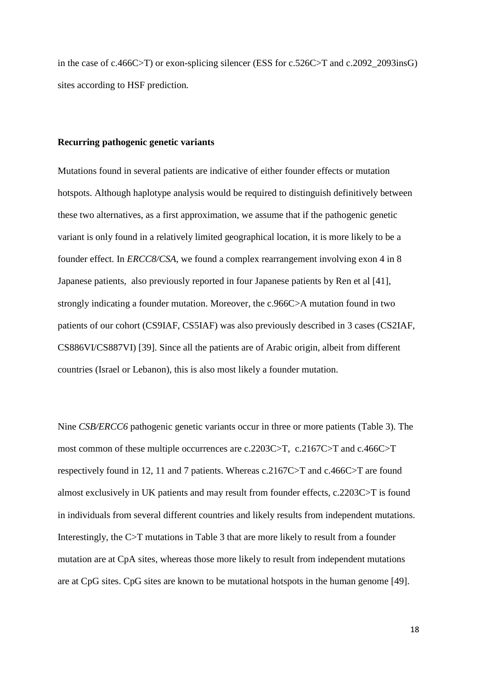in the case of c.466C>T) or exon-splicing silencer (ESS for c.526C>T and c.2092\_2093insG) sites according to HSF prediction*.*

#### **Recurring pathogenic genetic variants**

Mutations found in several patients are indicative of either founder effects or mutation hotspots. Although haplotype analysis would be required to distinguish definitively between these two alternatives, as a first approximation, we assume that if the pathogenic genetic variant is only found in a relatively limited geographical location, it is more likely to be a founder effect. In *ERCC8/CSA*, we found a complex rearrangement involving exon 4 in 8 Japanese patients, also previously reported in four Japanese patients by Ren et al [\[41\]](#page-29-14), strongly indicating a founder mutation. Moreover, the c.966C>A mutation found in two patients of our cohort (CS9IAF, CS5IAF) was also previously described in 3 cases (CS2IAF, CS886VI/CS887VI) [\[39\]](#page-29-5). Since all the patients are of Arabic origin, albeit from different countries (Israel or Lebanon), this is also most likely a founder mutation.

Nine *CSB/ERCC6* pathogenic genetic variants occur in three or more patients (Table 3). The most common of these multiple occurrences are c.2203C>T, c.2167C>T and c.466C>T respectively found in 12, 11 and 7 patients. Whereas c.2167C>T and c.466C>T are found almost exclusively in UK patients and may result from founder effects, c.2203C>T is found in individuals from several different countries and likely results from independent mutations. Interestingly, the C>T mutations in Table 3 that are more likely to result from a founder mutation are at CpA sites, whereas those more likely to result from independent mutations are at CpG sites. CpG sites are known to be mutational hotspots in the human genome [\[49\]](#page-30-1).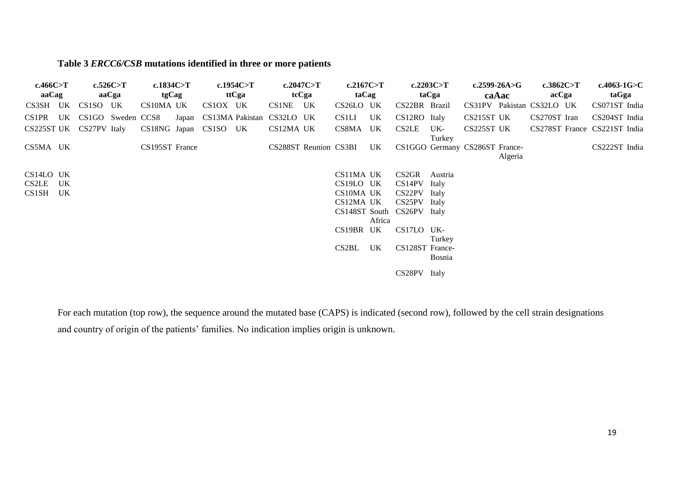# **Table 3** *ERCC6/CSB* **mutations identified in three or more patients**

| c.466C>T                   |          | c.526C>T | c.1834 $C>T$          |       |          | c.1954 $C>T$ |                           | c.2047 $C>T$          | c.2167 $C>T$ |        |                            | c.2203C>T     |                                | c.2599-26A>G | c.3862C $>$ T             | c.4063-1G $>$ C              |  |
|----------------------------|----------|----------|-----------------------|-------|----------|--------------|---------------------------|-----------------------|--------------|--------|----------------------------|---------------|--------------------------------|--------------|---------------------------|------------------------------|--|
| aaCag                      |          | aaCga    | tgCag                 |       |          | ttCga        |                           | tcCga                 | taCag        |        |                            | taCga         |                                | caAac        | acCga                     | taGga                        |  |
| CS3SH UK                   | CS1SO UK |          | CS10MA UK             |       | CS1OX UK |              | CS1NE UK                  |                       | CS26LO UK    |        | CS22BR Brazil              |               |                                |              | CS31PV Pakistan CS32LO UK | CS071ST India                |  |
| CS1PR UK CS1GO Sweden CCS8 |          |          |                       | Japan |          |              | CS13MA Pakistan CS32LO UK |                       | CS1LI        | UK     | CS12RO Italy               |               | CS215ST UK                     |              | CS270ST Iran              | CS204ST India                |  |
| CS225ST UK CS27PV Italy    |          |          | CS18NG Japan CS1SO UK |       |          |              | CS12MA UK                 |                       | CS8MA UK     |        | <b>CS2LE</b>               | UK-<br>Turkey | CS225ST UK                     |              |                           | CS278ST France CS221ST India |  |
| CS5MA UK                   |          |          | CS195ST France        |       |          |              |                           | CS288ST Reunion CS3BI |              | UK     |                            |               | CS1GGO Germany CS286ST France- | Algeria      |                           | CS222ST India                |  |
| CS14LO UK                  |          |          |                       |       |          |              |                           |                       | CS11MA UK    |        | CS <sub>2</sub> GR         | Austria       |                                |              |                           |                              |  |
| CS2LE UK                   |          |          |                       |       |          |              |                           |                       | CS19LO UK    |        | CS14PV                     | Italy         |                                |              |                           |                              |  |
| CS1SH UK                   |          |          |                       |       |          |              |                           |                       | CS10MA UK    |        | CS22PV Italy               |               |                                |              |                           |                              |  |
|                            |          |          |                       |       |          |              |                           |                       | CS12MA UK    |        | CS25PV Italy               |               |                                |              |                           |                              |  |
|                            |          |          |                       |       |          |              |                           |                       |              | Africa | CS148ST South CS26PV Italy |               |                                |              |                           |                              |  |
|                            |          |          |                       |       |          |              |                           |                       | CS19BR UK    |        | CS17LO UK-                 |               |                                |              |                           |                              |  |
|                            |          |          |                       |       |          |              |                           |                       |              |        |                            | Turkey        |                                |              |                           |                              |  |
|                            |          |          |                       |       |          |              |                           |                       | CS2BL        | UK     | CS128ST France-            | <b>Bosnia</b> |                                |              |                           |                              |  |
|                            |          |          |                       |       |          |              |                           |                       |              |        | CS28PV Italy               |               |                                |              |                           |                              |  |

For each mutation (top row), the sequence around the mutated base (CAPS) is indicated (second row), followed by the cell strain designations and country of origin of the patients' families. No indication implies origin is unknown.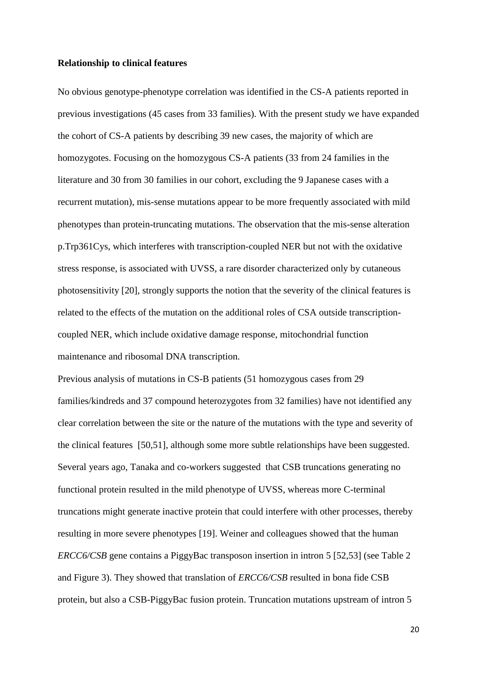### **Relationship to clinical features**

No obvious genotype-phenotype correlation was identified in the CS-A patients reported in previous investigations (45 cases from 33 families). With the present study we have expanded the cohort of CS-A patients by describing 39 new cases, the majority of which are homozygotes. Focusing on the homozygous CS-A patients (33 from 24 families in the literature and 30 from 30 families in our cohort, excluding the 9 Japanese cases with a recurrent mutation), mis-sense mutations appear to be more frequently associated with mild phenotypes than protein-truncating mutations. The observation that the mis-sense alteration p.Trp361Cys, which interferes with transcription-coupled NER but not with the oxidative stress response, is associated with UVSS, a rare disorder characterized only by cutaneous photosensitivity [20], strongly supports the notion that the severity of the clinical features is related to the effects of the mutation on the additional roles of CSA outside transcriptioncoupled NER, which include oxidative damage response, mitochondrial function maintenance and ribosomal DNA transcription.

Previous analysis of mutations in CS-B patients (51 homozygous cases from 29 families/kindreds and 37 compound heterozygotes from 32 families) have not identified any clear correlation between the site or the nature of the mutations with the type and severity of the clinical features [\[50,](#page-30-2)[51\]](#page-30-3), although some more subtle relationships have been suggested. Several years ago, Tanaka and co-workers suggested that CSB truncations generating no functional protein resulted in the mild phenotype of UVSS, whereas more C-terminal truncations might generate inactive protein that could interfere with other processes, thereby resulting in more severe phenotypes [\[19\]](#page-28-2). Weiner and colleagues showed that the human *ERCC6/CSB* gene contains a PiggyBac transposon insertion in intron 5 [\[52](#page-30-4)[,53\]](#page-30-5) (see Table 2 and Figure 3). They showed that translation of *ERCC6/CSB* resulted in bona fide CSB protein, but also a CSB-PiggyBac fusion protein. Truncation mutations upstream of intron 5

20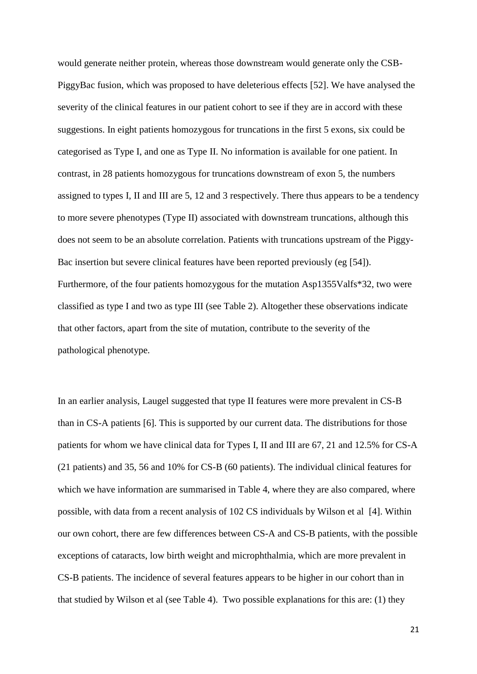would generate neither protein, whereas those downstream would generate only the CSB-PiggyBac fusion, which was proposed to have deleterious effects [\[52\]](#page-30-4). We have analysed the severity of the clinical features in our patient cohort to see if they are in accord with these suggestions. In eight patients homozygous for truncations in the first 5 exons, six could be categorised as Type I, and one as Type II. No information is available for one patient. In contrast, in 28 patients homozygous for truncations downstream of exon 5, the numbers assigned to types I, II and III are 5, 12 and 3 respectively. There thus appears to be a tendency to more severe phenotypes (Type II) associated with downstream truncations, although this does not seem to be an absolute correlation. Patients with truncations upstream of the Piggy-Bac insertion but severe clinical features have been reported previously (eg [\[54\]](#page-30-6)). Furthermore, of the four patients homozygous for the mutation Asp1355Valfs\*32, two were classified as type I and two as type III (see Table 2). Altogether these observations indicate that other factors, apart from the site of mutation, contribute to the severity of the pathological phenotype.

In an earlier analysis, Laugel suggested that type II features were more prevalent in CS-B than in CS-A patients [\[6\]](#page-27-2). This is supported by our current data. The distributions for those patients for whom we have clinical data for Types I, II and III are 67, 21 and 12.5% for CS-A (21 patients) and 35, 56 and 10% for CS-B (60 patients). The individual clinical features for which we have information are summarised in Table 4, where they are also compared, where possible, with data from a recent analysis of 102 CS individuals by Wilson et al [\[4\]](#page-27-15). Within our own cohort, there are few differences between CS-A and CS-B patients, with the possible exceptions of cataracts, low birth weight and microphthalmia, which are more prevalent in CS-B patients. The incidence of several features appears to be higher in our cohort than in that studied by Wilson et al (see Table 4). Two possible explanations for this are: (1) they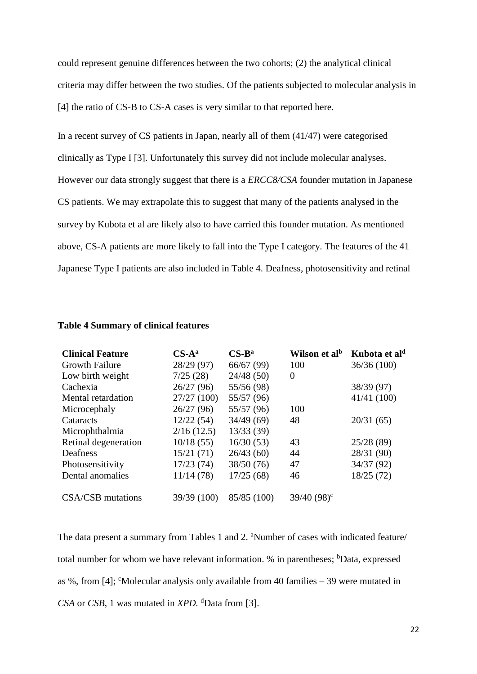could represent genuine differences between the two cohorts; (2) the analytical clinical criteria may differ between the two studies. Of the patients subjected to molecular analysis in [4] the ratio of CS-B to CS-A cases is very similar to that reported here.

In a recent survey of CS patients in Japan, nearly all of them (41/47) were categorised clinically as Type I [\[3\]](#page-27-16). Unfortunately this survey did not include molecular analyses. However our data strongly suggest that there is a *ERCC8/CSA* founder mutation in Japanese CS patients. We may extrapolate this to suggest that many of the patients analysed in the survey by Kubota et al are likely also to have carried this founder mutation. As mentioned above, CS-A patients are more likely to fall into the Type I category. The features of the 41 Japanese Type I patients are also included in Table 4. Deafness, photosensitivity and retinal

| <b>Clinical Feature</b> | $CS-A^a$    | $CS-B^a$    | Wilson et al <sup>b</sup> | Kubota et al <sup>d</sup> |
|-------------------------|-------------|-------------|---------------------------|---------------------------|
| <b>Growth Failure</b>   | 28/29 (97)  | 66/67(99)   | 100                       | 36/36(100)                |
| Low birth weight        | 7/25(28)    | 24/48(50)   | $\theta$                  |                           |
| Cachexia                | 26/27(96)   | 55/56 (98)  |                           | 38/39 (97)                |
| Mental retardation      | 27/27(100)  | 55/57 (96)  |                           | 41/41 (100)               |
| Microcephaly            | 26/27(96)   | 55/57 (96)  | 100                       |                           |
| Cataracts               | 12/22(54)   | 34/49(69)   | 48                        | 20/31(65)                 |
| Microphthalmia          | 2/16(12.5)  | 13/33(39)   |                           |                           |
| Retinal degeneration    | 10/18(55)   | 16/30(53)   | 43                        | 25/28(89)                 |
| Deafness                | 15/21(71)   | 26/43(60)   | 44                        | 28/31 (90)                |
| Photosensitivity        | 17/23(74)   | 38/50(76)   | 47                        | 34/37 (92)                |
| Dental anomalies        | 11/14(78)   | 17/25(68)   | 46                        | 18/25(72)                 |
| CSA/CSB mutations       | 39/39 (100) | 85/85 (100) | $39/40 (98)^c$            |                           |

# **Table 4 Summary of clinical features**

The data present a summary from Tables 1 and 2. <sup>a</sup>Number of cases with indicated feature/ total number for whom we have relevant information.  $%$  in parentheses;  $<sup>b</sup>Data$ , expressed</sup> as %, from [\[4\]](#page-27-15); 'Molecular analysis only available from 40 families  $-39$  were mutated in *CSA* or *CSB*, 1 was mutated in *XPD.* <sup>d</sup>Data from [\[3\]](#page-27-16).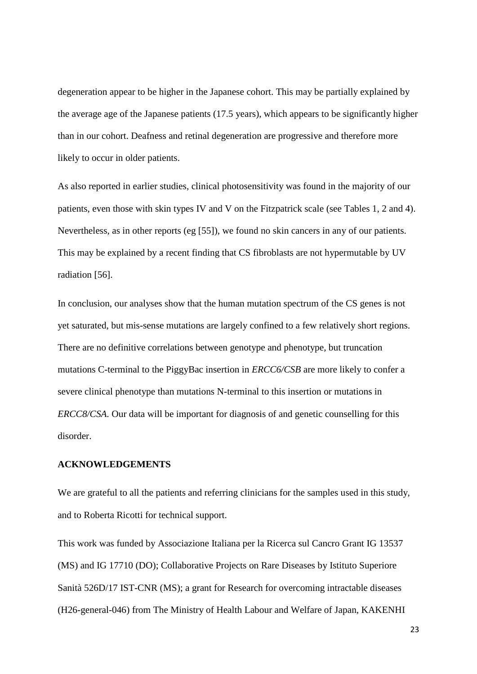degeneration appear to be higher in the Japanese cohort. This may be partially explained by the average age of the Japanese patients (17.5 years), which appears to be significantly higher than in our cohort. Deafness and retinal degeneration are progressive and therefore more likely to occur in older patients.

As also reported in earlier studies, clinical photosensitivity was found in the majority of our patients, even those with skin types IV and V on the Fitzpatrick scale (see Tables 1, 2 and 4). Nevertheless, as in other reports (eg [55]), we found no skin cancers in any of our patients. This may be explained by a recent finding that CS fibroblasts are not hypermutable by UV radiation [56].

In conclusion, our analyses show that the human mutation spectrum of the CS genes is not yet saturated, but mis-sense mutations are largely confined to a few relatively short regions. There are no definitive correlations between genotype and phenotype, but truncation mutations C-terminal to the PiggyBac insertion in *ERCC6/CSB* are more likely to confer a severe clinical phenotype than mutations N-terminal to this insertion or mutations in *ERCC8/CSA.* Our data will be important for diagnosis of and genetic counselling for this disorder.

# **ACKNOWLEDGEMENTS**

We are grateful to all the patients and referring clinicians for the samples used in this study, and to Roberta Ricotti for technical support.

This work was funded by Associazione Italiana per la Ricerca sul Cancro Grant IG 13537 (MS) and IG 17710 (DO); Collaborative Projects on Rare Diseases by Istituto Superiore Sanità 526D/17 IST-CNR (MS); a grant for Research for overcoming intractable diseases (H26-general-046) from The Ministry of Health Labour and Welfare of Japan, KAKENHI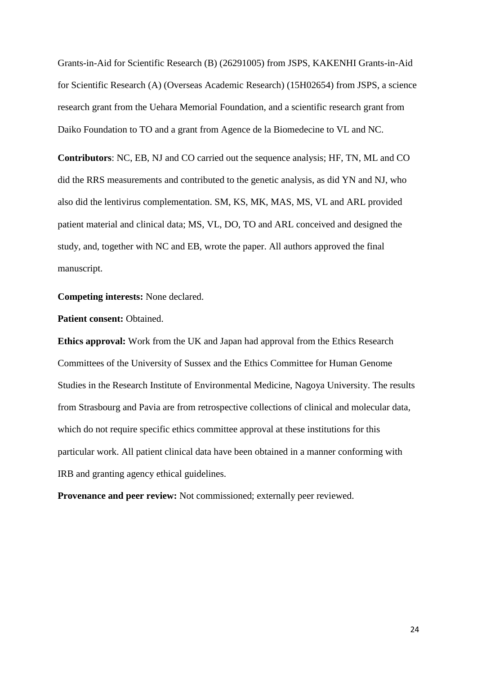Grants-in-Aid for Scientific Research (B) (26291005) from JSPS, KAKENHI Grants-in-Aid for Scientific Research (A) (Overseas Academic Research) (15H02654) from JSPS, a science research grant from the Uehara Memorial Foundation, and a scientific research grant from Daiko Foundation to TO and a grant from Agence de la Biomedecine to VL and NC.

**Contributors**: NC, EB, NJ and CO carried out the sequence analysis; HF, TN, ML and CO did the RRS measurements and contributed to the genetic analysis, as did YN and NJ, who also did the lentivirus complementation. SM, KS, MK, MAS, MS, VL and ARL provided patient material and clinical data; MS, VL, DO, TO and ARL conceived and designed the study, and, together with NC and EB, wrote the paper. All authors approved the final manuscript.

**Competing interests:** None declared.

### **Patient consent: Obtained.**

**Ethics approval:** Work from the UK and Japan had approval from the Ethics Research Committees of the University of Sussex and the Ethics Committee for Human Genome Studies in the Research Institute of Environmental Medicine, Nagoya University. The results from Strasbourg and Pavia are from retrospective collections of clinical and molecular data, which do not require specific ethics committee approval at these institutions for this particular work. All patient clinical data have been obtained in a manner conforming with IRB and granting agency ethical guidelines.

**Provenance and peer review:** Not commissioned; externally peer reviewed.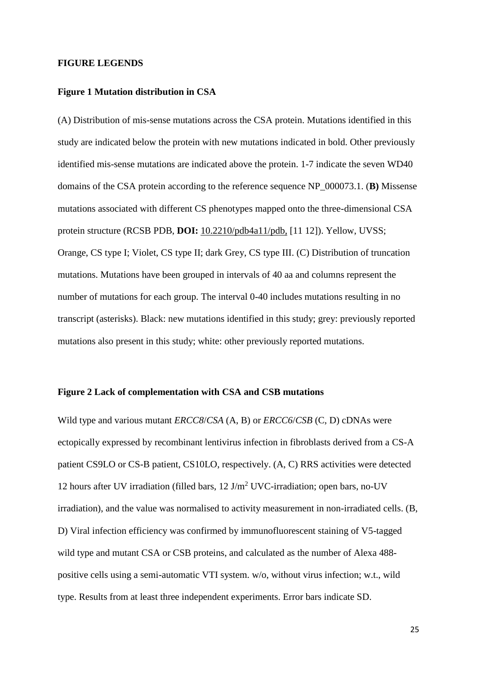### **FIGURE LEGENDS**

# **Figure 1 Mutation distribution in CSA**

(A) Distribution of mis-sense mutations across the CSA protein. Mutations identified in this study are indicated below the protein with new mutations indicated in bold. Other previously identified mis-sense mutations are indicated above the protein. 1-7 indicate the seven WD40 domains of the CSA protein according to the reference sequence NP\_000073.1. (**B)** Missense mutations associated with different CS phenotypes mapped onto the three-dimensional CSA protein structure (RCSB PDB, **DOI:** [10.2210/pdb4a11/pdb,](http://dx.doi.org/10.2210/pdb4a11/pdb) [\[11](#page-27-7) [12\]](#page-27-8)). Yellow, UVSS; Orange, CS type I; Violet, CS type II; dark Grey, CS type III. (C) Distribution of truncation mutations. Mutations have been grouped in intervals of 40 aa and columns represent the number of mutations for each group. The interval 0-40 includes mutations resulting in no transcript (asterisks). Black: new mutations identified in this study; grey: previously reported mutations also present in this study; white: other previously reported mutations.

# **Figure 2 Lack of complementation with CSA and CSB mutations**

Wild type and various mutant *ERCC8*/*CSA* (A, B) or *ERCC6*/*CSB* (C, D) cDNAs were ectopically expressed by recombinant lentivirus infection in fibroblasts derived from a CS-A patient CS9LO or CS-B patient, CS10LO, respectively. (A, C) RRS activities were detected 12 hours after UV irradiation (filled bars,  $12 \text{ J/m}^2$  UVC-irradiation; open bars, no-UV irradiation), and the value was normalised to activity measurement in non-irradiated cells. (B, D) Viral infection efficiency was confirmed by immunofluorescent staining of V5-tagged wild type and mutant CSA or CSB proteins, and calculated as the number of Alexa 488 positive cells using a semi-automatic VTI system. w/o, without virus infection; w.t., wild type. Results from at least three independent experiments. Error bars indicate SD.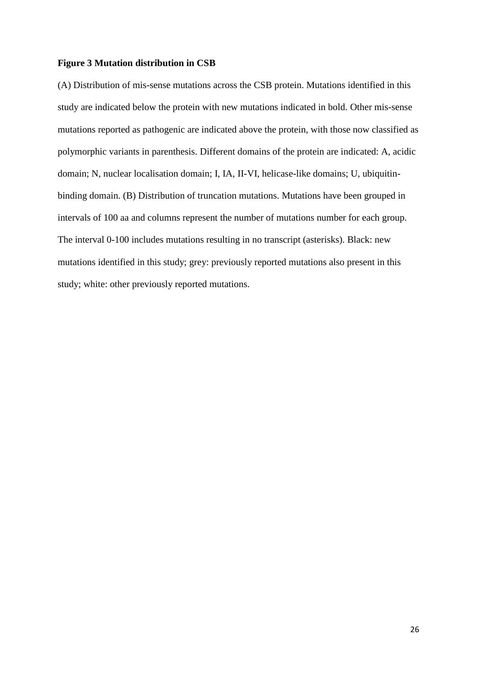### **Figure 3 Mutation distribution in CSB**

(A) Distribution of mis-sense mutations across the CSB protein. Mutations identified in this study are indicated below the protein with new mutations indicated in bold. Other mis-sense mutations reported as pathogenic are indicated above the protein, with those now classified as polymorphic variants in parenthesis. Different domains of the protein are indicated: A, acidic domain; N, nuclear localisation domain; I, IA, II-VI, helicase-like domains; U, ubiquitinbinding domain. (B) Distribution of truncation mutations. Mutations have been grouped in intervals of 100 aa and columns represent the number of mutations number for each group. The interval 0-100 includes mutations resulting in no transcript (asterisks). Black: new mutations identified in this study; grey: previously reported mutations also present in this study; white: other previously reported mutations.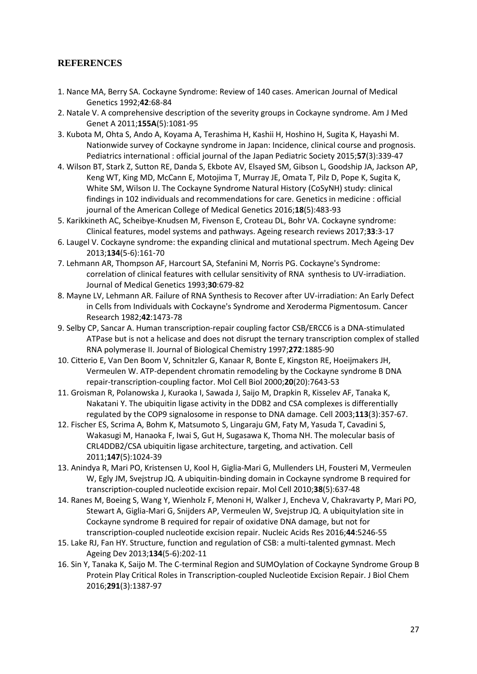# <span id="page-27-14"></span>**REFERENCES**

- <span id="page-27-0"></span>1. Nance MA, Berry SA. Cockayne Syndrome: Review of 140 cases. American Journal of Medical Genetics 1992;**42**:68-84
- <span id="page-27-1"></span>2. Natale V. A comprehensive description of the severity groups in Cockayne syndrome. Am J Med Genet A 2011;**155A**(5):1081-95
- <span id="page-27-16"></span>3. Kubota M, Ohta S, Ando A, Koyama A, Terashima H, Kashii H, Hoshino H, Sugita K, Hayashi M. Nationwide survey of Cockayne syndrome in Japan: Incidence, clinical course and prognosis. Pediatrics international : official journal of the Japan Pediatric Society 2015;**57**(3):339-47
- <span id="page-27-15"></span>4. Wilson BT, Stark Z, Sutton RE, Danda S, Ekbote AV, Elsayed SM, Gibson L, Goodship JA, Jackson AP, Keng WT, King MD, McCann E, Motojima T, Murray JE, Omata T, Pilz D, Pope K, Sugita K, White SM, Wilson IJ. The Cockayne Syndrome Natural History (CoSyNH) study: clinical findings in 102 individuals and recommendations for care. Genetics in medicine : official journal of the American College of Medical Genetics 2016;**18**(5):483-93
- <span id="page-27-13"></span>5. Karikkineth AC, Scheibye-Knudsen M, Fivenson E, Croteau DL, Bohr VA. Cockayne syndrome: Clinical features, model systems and pathways. Ageing research reviews 2017;**33**:3-17
- <span id="page-27-2"></span>6. Laugel V. Cockayne syndrome: the expanding clinical and mutational spectrum. Mech Ageing Dev 2013;**134**(5-6):161-70
- <span id="page-27-3"></span>7. Lehmann AR, Thompson AF, Harcourt SA, Stefanini M, Norris PG. Cockayne's Syndrome: correlation of clinical features with cellular sensitivity of RNA synthesis to UV-irradiation. Journal of Medical Genetics 1993;**30**:679-82
- <span id="page-27-4"></span>8. Mayne LV, Lehmann AR. Failure of RNA Synthesis to Recover after UV-irradiation: An Early Defect in Cells from Individuals with Cockayne's Syndrome and Xeroderma Pigmentosum. Cancer Research 1982;**42**:1473-78
- <span id="page-27-5"></span>9. Selby CP, Sancar A. Human transcription-repair coupling factor CSB/ERCC6 is a DNA-stimulated ATPase but is not a helicase and does not disrupt the ternary transcription complex of stalled RNA polymerase II. Journal of Biological Chemistry 1997;**272**:1885-90
- <span id="page-27-6"></span>10. Citterio E, Van Den Boom V, Schnitzler G, Kanaar R, Bonte E, Kingston RE, Hoeijmakers JH, Vermeulen W. ATP-dependent chromatin remodeling by the Cockayne syndrome B DNA repair-transcription-coupling factor. Mol Cell Biol 2000;**20**(20):7643-53
- <span id="page-27-7"></span>11. Groisman R, Polanowska J, Kuraoka I, Sawada J, Saijo M, Drapkin R, Kisselev AF, Tanaka K, Nakatani Y. The ubiquitin ligase activity in the DDB2 and CSA complexes is differentially regulated by the COP9 signalosome in response to DNA damage. Cell 2003;**113**(3):357-67.
- <span id="page-27-8"></span>12. Fischer ES, Scrima A, Bohm K, Matsumoto S, Lingaraju GM, Faty M, Yasuda T, Cavadini S, Wakasugi M, Hanaoka F, Iwai S, Gut H, Sugasawa K, Thoma NH. The molecular basis of CRL4DDB2/CSA ubiquitin ligase architecture, targeting, and activation. Cell 2011;**147**(5):1024-39
- <span id="page-27-9"></span>13. Anindya R, Mari PO, Kristensen U, Kool H, Giglia-Mari G, Mullenders LH, Fousteri M, Vermeulen W, Egly JM, Svejstrup JQ. A ubiquitin-binding domain in Cockayne syndrome B required for transcription-coupled nucleotide excision repair. Mol Cell 2010;**38**(5):637-48
- <span id="page-27-10"></span>14. Ranes M, Boeing S, Wang Y, Wienholz F, Menoni H, Walker J, Encheva V, Chakravarty P, Mari PO, Stewart A, Giglia-Mari G, Snijders AP, Vermeulen W, Svejstrup JQ. A ubiquitylation site in Cockayne syndrome B required for repair of oxidative DNA damage, but not for transcription-coupled nucleotide excision repair. Nucleic Acids Res 2016;**44**:5246-55
- <span id="page-27-11"></span>15. Lake RJ, Fan HY. Structure, function and regulation of CSB: a multi-talented gymnast. Mech Ageing Dev 2013;**134**(5-6):202-11
- <span id="page-27-12"></span>16. Sin Y, Tanaka K, Saijo M. The C-terminal Region and SUMOylation of Cockayne Syndrome Group B Protein Play Critical Roles in Transcription-coupled Nucleotide Excision Repair. J Biol Chem 2016;**291**(3):1387-97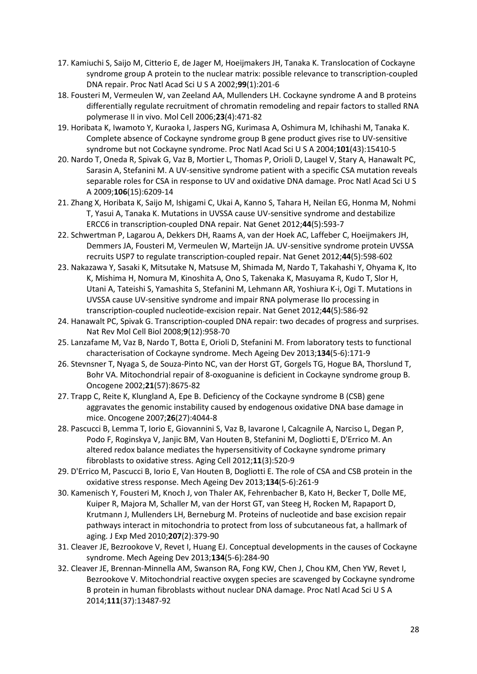- <span id="page-28-0"></span>17. Kamiuchi S, Saijo M, Citterio E, de Jager M, Hoeijmakers JH, Tanaka K. Translocation of Cockayne syndrome group A protein to the nuclear matrix: possible relevance to transcription-coupled DNA repair. Proc Natl Acad Sci U S A 2002;**99**(1):201-6
- <span id="page-28-1"></span>18. Fousteri M, Vermeulen W, van Zeeland AA, Mullenders LH. Cockayne syndrome A and B proteins differentially regulate recruitment of chromatin remodeling and repair factors to stalled RNA polymerase II in vivo. Mol Cell 2006;**23**(4):471-82
- <span id="page-28-2"></span>19. Horibata K, Iwamoto Y, Kuraoka I, Jaspers NG, Kurimasa A, Oshimura M, Ichihashi M, Tanaka K. Complete absence of Cockayne syndrome group B gene product gives rise to UV-sensitive syndrome but not Cockayne syndrome. Proc Natl Acad Sci U S A 2004;**101**(43):15410-5
- 20. Nardo T, Oneda R, Spivak G, Vaz B, Mortier L, Thomas P, Orioli D, Laugel V, Stary A, Hanawalt PC, Sarasin A, Stefanini M. A UV-sensitive syndrome patient with a specific CSA mutation reveals separable roles for CSA in response to UV and oxidative DNA damage. Proc Natl Acad Sci U S A 2009;**106**(15):6209-14
- 21. Zhang X, Horibata K, Saijo M, Ishigami C, Ukai A, Kanno S, Tahara H, Neilan EG, Honma M, Nohmi T, Yasui A, Tanaka K. Mutations in UVSSA cause UV-sensitive syndrome and destabilize ERCC6 in transcription-coupled DNA repair. Nat Genet 2012;**44**(5):593-7
- 22. Schwertman P, Lagarou A, Dekkers DH, Raams A, van der Hoek AC, Laffeber C, Hoeijmakers JH, Demmers JA, Fousteri M, Vermeulen W, Marteijn JA. UV-sensitive syndrome protein UVSSA recruits USP7 to regulate transcription-coupled repair. Nat Genet 2012;**44**(5):598-602
- 23. Nakazawa Y, Sasaki K, Mitsutake N, Matsuse M, Shimada M, Nardo T, Takahashi Y, Ohyama K, Ito K, Mishima H, Nomura M, Kinoshita A, Ono S, Takenaka K, Masuyama R, Kudo T, Slor H, Utani A, Tateishi S, Yamashita S, Stefanini M, Lehmann AR, Yoshiura K-i, Ogi T. Mutations in UVSSA cause UV-sensitive syndrome and impair RNA polymerase IIo processing in transcription-coupled nucleotide-excision repair. Nat Genet 2012;**44**(5):586-92
- <span id="page-28-3"></span>24. Hanawalt PC, Spivak G. Transcription-coupled DNA repair: two decades of progress and surprises. Nat Rev Mol Cell Biol 2008;**9**(12):958-70
- <span id="page-28-4"></span>25. Lanzafame M, Vaz B, Nardo T, Botta E, Orioli D, Stefanini M. From laboratory tests to functional characterisation of Cockayne syndrome. Mech Ageing Dev 2013;**134**(5-6):171-9
- <span id="page-28-5"></span>26. Stevnsner T, Nyaga S, de Souza-Pinto NC, van der Horst GT, Gorgels TG, Hogue BA, Thorslund T, Bohr VA. Mitochondrial repair of 8-oxoguanine is deficient in Cockayne syndrome group B. Oncogene 2002;**21**(57):8675-82
- 27. Trapp C, Reite K, Klungland A, Epe B. Deficiency of the Cockayne syndrome B (CSB) gene aggravates the genomic instability caused by endogenous oxidative DNA base damage in mice. Oncogene 2007;**26**(27):4044-8
- 28. Pascucci B, Lemma T, Iorio E, Giovannini S, Vaz B, Iavarone I, Calcagnile A, Narciso L, Degan P, Podo F, Roginskya V, Janjic BM, Van Houten B, Stefanini M, Dogliotti E, D'Errico M. An altered redox balance mediates the hypersensitivity of Cockayne syndrome primary fibroblasts to oxidative stress. Aging Cell 2012;**11**(3):520-9
- 29. D'Errico M, Pascucci B, Iorio E, Van Houten B, Dogliotti E. The role of CSA and CSB protein in the oxidative stress response. Mech Ageing Dev 2013;**134**(5-6):261-9
- <span id="page-28-6"></span>30. Kamenisch Y, Fousteri M, Knoch J, von Thaler AK, Fehrenbacher B, Kato H, Becker T, Dolle ME, Kuiper R, Majora M, Schaller M, van der Horst GT, van Steeg H, Rocken M, Rapaport D, Krutmann J, Mullenders LH, Berneburg M. Proteins of nucleotide and base excision repair pathways interact in mitochondria to protect from loss of subcutaneous fat, a hallmark of aging. J Exp Med 2010;**207**(2):379-90
- 31. Cleaver JE, Bezrookove V, Revet I, Huang EJ. Conceptual developments in the causes of Cockayne syndrome. Mech Ageing Dev 2013;**134**(5-6):284-90
- 32. Cleaver JE, Brennan-Minnella AM, Swanson RA, Fong KW, Chen J, Chou KM, Chen YW, Revet I, Bezrookove V. Mitochondrial reactive oxygen species are scavenged by Cockayne syndrome B protein in human fibroblasts without nuclear DNA damage. Proc Natl Acad Sci U S A 2014;**111**(37):13487-92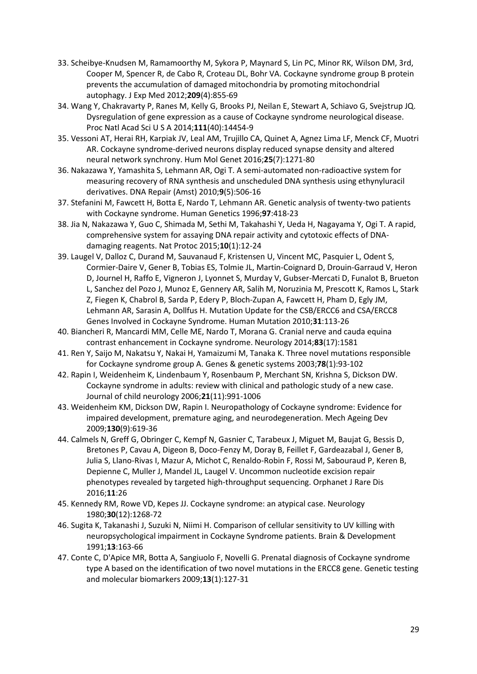- 33. Scheibye-Knudsen M, Ramamoorthy M, Sykora P, Maynard S, Lin PC, Minor RK, Wilson DM, 3rd, Cooper M, Spencer R, de Cabo R, Croteau DL, Bohr VA. Cockayne syndrome group B protein prevents the accumulation of damaged mitochondria by promoting mitochondrial autophagy. J Exp Med 2012;**209**(4):855-69
- <span id="page-29-0"></span>34. Wang Y, Chakravarty P, Ranes M, Kelly G, Brooks PJ, Neilan E, Stewart A, Schiavo G, Svejstrup JQ. Dysregulation of gene expression as a cause of Cockayne syndrome neurological disease. Proc Natl Acad Sci U S A 2014;**111**(40):14454-9
- <span id="page-29-6"></span><span id="page-29-1"></span>35. Vessoni AT, Herai RH, Karpiak JV, Leal AM, Trujillo CA, Quinet A, Agnez Lima LF, Menck CF, Muotri AR. Cockayne syndrome-derived neurons display reduced synapse density and altered neural network synchrony. Hum Mol Genet 2016;**25**(7):1271-80
- <span id="page-29-8"></span><span id="page-29-7"></span><span id="page-29-2"></span>36. Nakazawa Y, Yamashita S, Lehmann AR, Ogi T. A semi-automated non-radioactive system for measuring recovery of RNA synthesis and unscheduled DNA synthesis using ethynyluracil derivatives. DNA Repair (Amst) 2010;**9**(5):506-16
- <span id="page-29-9"></span><span id="page-29-3"></span>37. Stefanini M, Fawcett H, Botta E, Nardo T, Lehmann AR. Genetic analysis of twenty-two patients with Cockayne syndrome. Human Genetics 1996;**97**:418-23
- <span id="page-29-4"></span>38. Jia N, Nakazawa Y, Guo C, Shimada M, Sethi M, Takahashi Y, Ueda H, Nagayama Y, Ogi T. A rapid, comprehensive system for assaying DNA repair activity and cytotoxic effects of DNAdamaging reagents. Nat Protoc 2015;**10**(1):12-24
- <span id="page-29-10"></span><span id="page-29-5"></span>39. Laugel V, Dalloz C, Durand M, Sauvanaud F, Kristensen U, Vincent MC, Pasquier L, Odent S, Cormier-Daire V, Gener B, Tobias ES, Tolmie JL, Martin-Coignard D, Drouin-Garraud V, Heron D, Journel H, Raffo E, Vigneron J, Lyonnet S, Murday V, Gubser-Mercati D, Funalot B, Brueton L, Sanchez del Pozo J, Munoz E, Gennery AR, Salih M, Noruzinia M, Prescott K, Ramos L, Stark Z, Fiegen K, Chabrol B, Sarda P, Edery P, Bloch-Zupan A, Fawcett H, Pham D, Egly JM, Lehmann AR, Sarasin A, Dollfus H. Mutation Update for the CSB/ERCC6 and CSA/ERCC8 Genes Involved in Cockayne Syndrome. Human Mutation 2010;**31**:113-26
- <span id="page-29-12"></span><span id="page-29-11"></span>40. Biancheri R, Mancardi MM, Celle ME, Nardo T, Morana G. Cranial nerve and cauda equina contrast enhancement in Cockayne syndrome. Neurology 2014;**83**(17):1581
- <span id="page-29-14"></span><span id="page-29-13"></span>41. Ren Y, Saijo M, Nakatsu Y, Nakai H, Yamaizumi M, Tanaka K. Three novel mutations responsible for Cockayne syndrome group A. Genes & genetic systems 2003;**78**(1):93-102
- 42. Rapin I, Weidenheim K, Lindenbaum Y, Rosenbaum P, Merchant SN, Krishna S, Dickson DW. Cockayne syndrome in adults: review with clinical and pathologic study of a new case. Journal of child neurology 2006;**21**(11):991-1006
- 43. Weidenheim KM, Dickson DW, Rapin I. Neuropathology of Cockayne syndrome: Evidence for impaired development, premature aging, and neurodegeneration. Mech Ageing Dev 2009;**130**(9):619-36
- 44. Calmels N, Greff G, Obringer C, Kempf N, Gasnier C, Tarabeux J, Miguet M, Baujat G, Bessis D, Bretones P, Cavau A, Digeon B, Doco-Fenzy M, Doray B, Feillet F, Gardeazabal J, Gener B, Julia S, Llano-Rivas I, Mazur A, Michot C, Renaldo-Robin F, Rossi M, Sabouraud P, Keren B, Depienne C, Muller J, Mandel JL, Laugel V. Uncommon nucleotide excision repair phenotypes revealed by targeted high-throughput sequencing. Orphanet J Rare Dis 2016;**11**:26
- 45. Kennedy RM, Rowe VD, Kepes JJ. Cockayne syndrome: an atypical case. Neurology 1980;**30**(12):1268-72
- 46. Sugita K, Takanashi J, Suzuki N, Niimi H. Comparison of cellular sensitivity to UV killing with neuropsychological impairment in Cockayne Syndrome patients. Brain & Development 1991;**13**:163-66
- 47. Conte C, D'Apice MR, Botta A, Sangiuolo F, Novelli G. Prenatal diagnosis of Cockayne syndrome type A based on the identification of two novel mutations in the ERCC8 gene. Genetic testing and molecular biomarkers 2009;**13**(1):127-31